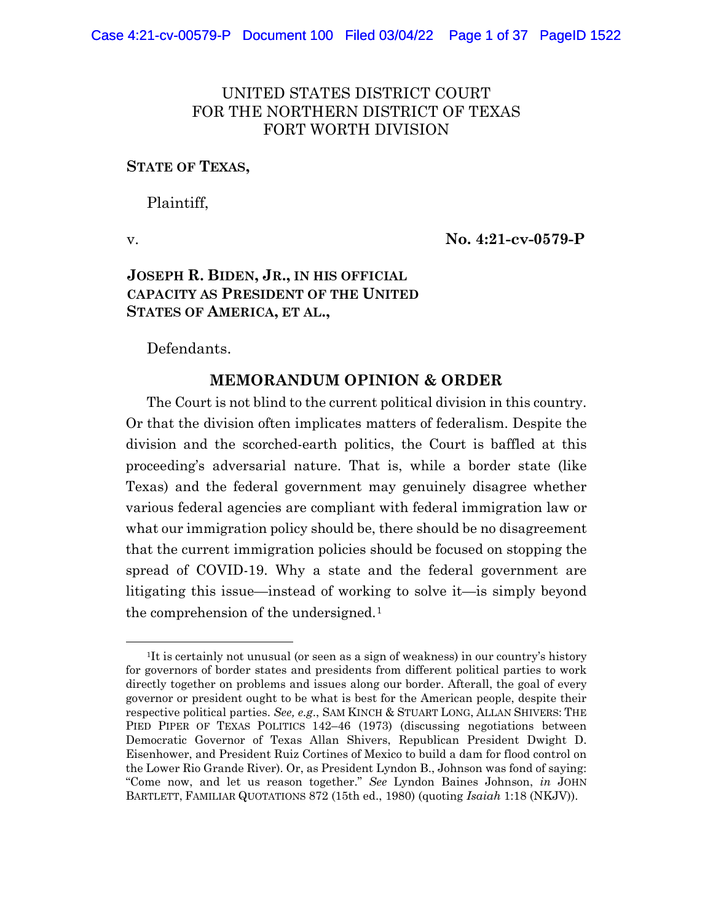# UNITED STATES DISTRICT COURT FOR THE NORTHERN DISTRICT OF TEXAS FORT WORTH DIVISION

### **STATE OF TEXAS,**

Plaintiff,

v. **No. 4:21-cv-0579-P**

# **JOSEPH R. BIDEN, JR., IN HIS OFFICIAL CAPACITY AS PRESIDENT OF THE UNITED STATES OF AMERICA, ET AL.,**

Defendants.

# **MEMORANDUM OPINION & ORDER**

The Court is not blind to the current political division in this country. Or that the division often implicates matters of federalism. Despite the division and the scorched-earth politics, the Court is baffled at this proceeding's adversarial nature. That is, while a border state (like Texas) and the federal government may genuinely disagree whether various federal agencies are compliant with federal immigration law or what our immigration policy should be, there should be no disagreement that the current immigration policies should be focused on stopping the spread of COVID-19. Why a state and the federal government are litigating this issue—instead of working to solve it—is simply beyond the comprehension of the undersigned.<sup>1</sup>

<sup>1</sup>It is certainly not unusual (or seen as a sign of weakness) in our country's history for governors of border states and presidents from different political parties to work directly together on problems and issues along our border. Afterall, the goal of every governor or president ought to be what is best for the American people, despite their respective political parties. *See, e.g*., SAM KINCH & STUART LONG, ALLAN SHIVERS: THE PIED PIPER OF TEXAS POLITICS 142–46 (1973) (discussing negotiations between Democratic Governor of Texas Allan Shivers, Republican President Dwight D. Eisenhower, and President Ruiz Cortines of Mexico to build a dam for flood control on the Lower Rio Grande River). Or, as President Lyndon B., Johnson was fond of saying: "Come now, and let us reason together." *See* Lyndon Baines Johnson, *in* JOHN BARTLETT, FAMILIAR QUOTATIONS 872 (15th ed., 1980) (quoting *Isaiah* 1:18 (NKJV)).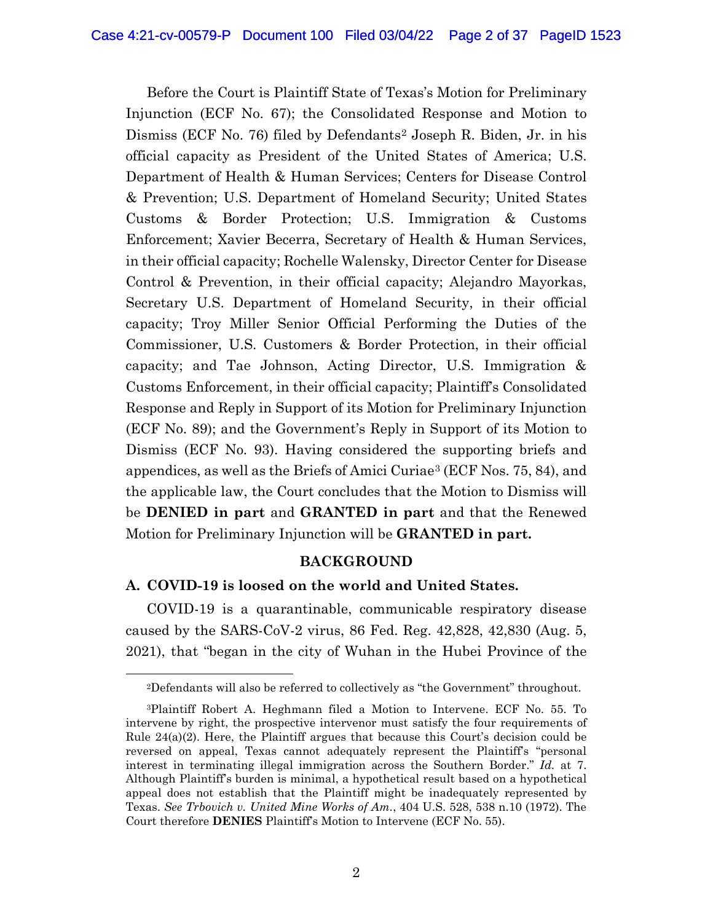Before the Court is Plaintiff State of Texas's Motion for Preliminary Injunction (ECF No. 67); the Consolidated Response and Motion to Dismiss (ECF No. 76) filed by Defendants2 Joseph R. Biden, Jr. in his official capacity as President of the United States of America; U.S. Department of Health & Human Services; Centers for Disease Control & Prevention; U.S. Department of Homeland Security; United States Customs & Border Protection; U.S. Immigration & Customs Enforcement; Xavier Becerra, Secretary of Health & Human Services, in their official capacity; Rochelle Walensky, Director Center for Disease Control & Prevention, in their official capacity; Alejandro Mayorkas, Secretary U.S. Department of Homeland Security, in their official capacity; Troy Miller Senior Official Performing the Duties of the Commissioner, U.S. Customers & Border Protection, in their official capacity; and Tae Johnson, Acting Director, U.S. Immigration & Customs Enforcement, in their official capacity; Plaintiff's Consolidated Response and Reply in Support of its Motion for Preliminary Injunction (ECF No. 89); and the Government's Reply in Support of its Motion to Dismiss (ECF No. 93). Having considered the supporting briefs and appendices, as well as the Briefs of Amici Curiae3 (ECF Nos. 75, 84), and the applicable law, the Court concludes that the Motion to Dismiss will be **DENIED in part** and **GRANTED in part** and that the Renewed Motion for Preliminary Injunction will be **GRANTED in part.**

#### **BACKGROUND**

### **A. COVID-19 is loosed on the world and United States.**

COVID-19 is a quarantinable, communicable respiratory disease caused by the SARS-CoV-2 virus, 86 Fed. Reg. 42,828, 42,830 (Aug. 5, 2021), that "began in the city of Wuhan in the Hubei Province of the

<sup>2</sup>Defendants will also be referred to collectively as "the Government" throughout.

<sup>3</sup>Plaintiff Robert A. Heghmann filed a Motion to Intervene. ECF No. 55. To intervene by right, the prospective intervenor must satisfy the four requirements of Rule 24(a)(2). Here, the Plaintiff argues that because this Court's decision could be reversed on appeal, Texas cannot adequately represent the Plaintiff's "personal interest in terminating illegal immigration across the Southern Border." *Id.* at 7. Although Plaintiff's burden is minimal, a hypothetical result based on a hypothetical appeal does not establish that the Plaintiff might be inadequately represented by Texas. *See Trbovich v. United Mine Works of Am.*, 404 U.S. 528, 538 n.10 (1972). The Court therefore **DENIES** Plaintiff's Motion to Intervene (ECF No. 55).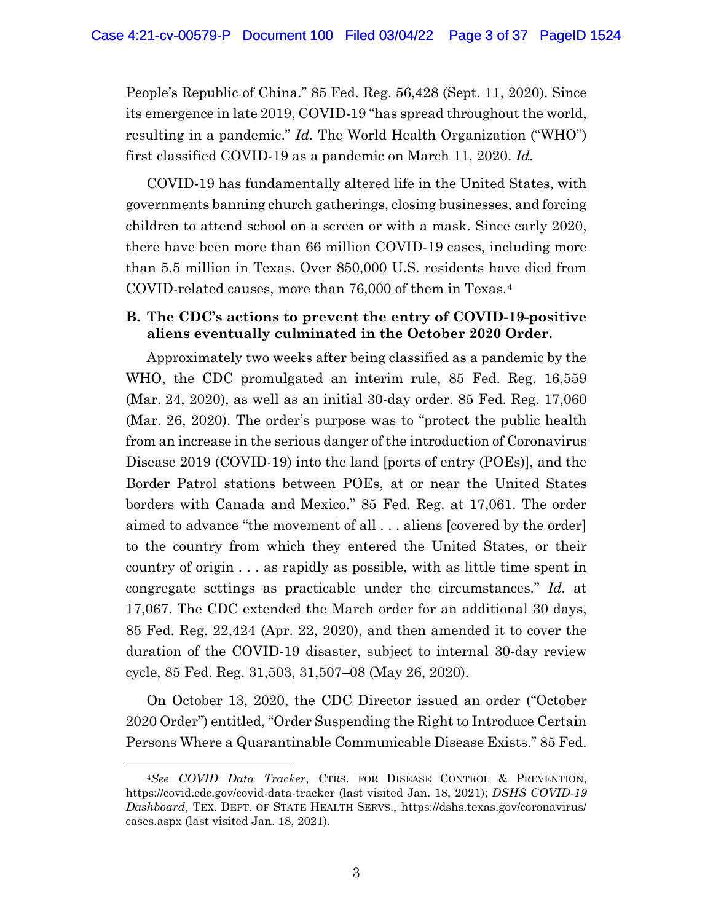People's Republic of China." 85 Fed. Reg. 56,428 (Sept. 11, 2020). Since its emergence in late 2019, COVID-19 "has spread throughout the world, resulting in a pandemic." *Id.* The World Health Organization ("WHO") first classified COVID-19 as a pandemic on March 11, 2020. *Id.* 

COVID-19 has fundamentally altered life in the United States, with governments banning church gatherings, closing businesses, and forcing children to attend school on a screen or with a mask. Since early 2020, there have been more than 66 million COVID-19 cases, including more than 5.5 million in Texas. Over 850,000 U.S. residents have died from COVID-related causes, more than 76,000 of them in Texas.4

# **B. The CDC's actions to prevent the entry of COVID-19-positive aliens eventually culminated in the October 2020 Order.**

Approximately two weeks after being classified as a pandemic by the WHO, the CDC promulgated an interim rule, 85 Fed. Reg. 16,559 (Mar. 24, 2020), as well as an initial 30-day order. 85 Fed. Reg. 17,060 (Mar. 26, 2020). The order's purpose was to "protect the public health from an increase in the serious danger of the introduction of Coronavirus Disease 2019 (COVID-19) into the land [ports of entry (POEs)], and the Border Patrol stations between POEs, at or near the United States borders with Canada and Mexico." 85 Fed. Reg. at 17,061. The order aimed to advance "the movement of all . . . aliens [covered by the order] to the country from which they entered the United States, or their country of origin . . . as rapidly as possible, with as little time spent in congregate settings as practicable under the circumstances." *Id.* at 17,067. The CDC extended the March order for an additional 30 days, 85 Fed. Reg. 22,424 (Apr. 22, 2020), and then amended it to cover the duration of the COVID-19 disaster, subject to internal 30-day review cycle, 85 Fed. Reg. 31,503, 31,507–08 (May 26, 2020).

On October 13, 2020, the CDC Director issued an order ("October 2020 Order") entitled, "Order Suspending the Right to Introduce Certain Persons Where a Quarantinable Communicable Disease Exists." 85 Fed.

<sup>4</sup>*See COVID Data Tracker*, CTRS. FOR DISEASE CONTROL & PREVENTION, https://covid.cdc.gov/covid-data-tracker (last visited Jan. 18, 2021); *DSHS COVID-19 Dashboard*, TEX. DEPT. OF STATE HEALTH SERVS., https://dshs.texas.gov/coronavirus/ cases.aspx (last visited Jan. 18, 2021).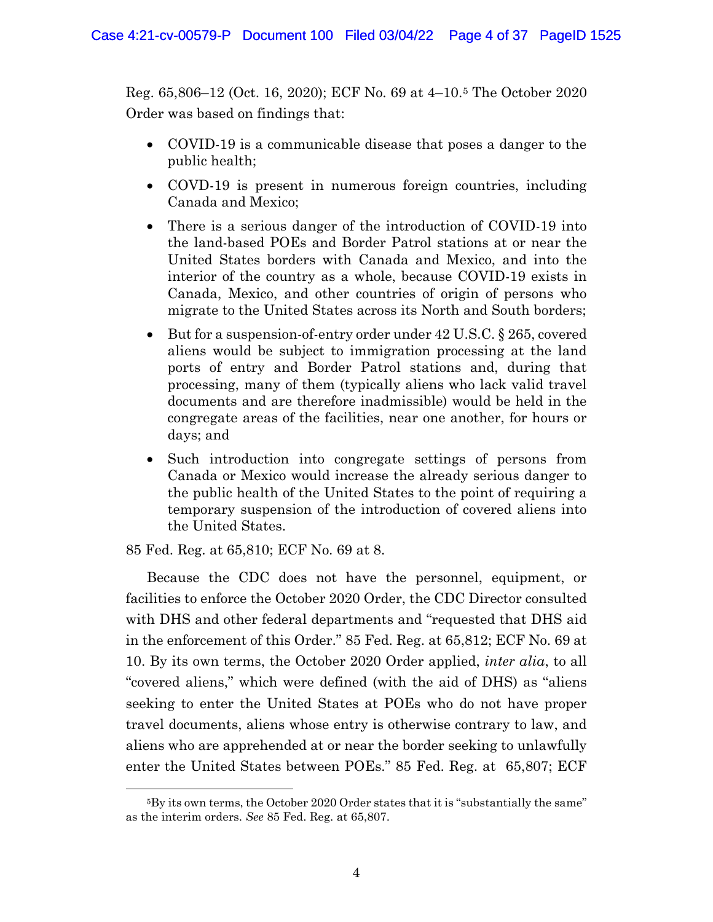Reg. 65,806–12 (Oct. 16, 2020); ECF No. 69 at 4–10.5 The October 2020 Order was based on findings that:

- COVID-19 is a communicable disease that poses a danger to the public health;
- COVD-19 is present in numerous foreign countries, including Canada and Mexico;
- There is a serious danger of the introduction of COVID-19 into the land-based POEs and Border Patrol stations at or near the United States borders with Canada and Mexico, and into the interior of the country as a whole, because COVID-19 exists in Canada, Mexico, and other countries of origin of persons who migrate to the United States across its North and South borders;
- But for a suspension-of-entry order under 42 U.S.C. § 265, covered aliens would be subject to immigration processing at the land ports of entry and Border Patrol stations and, during that processing, many of them (typically aliens who lack valid travel documents and are therefore inadmissible) would be held in the congregate areas of the facilities, near one another, for hours or days; and
- Such introduction into congregate settings of persons from Canada or Mexico would increase the already serious danger to the public health of the United States to the point of requiring a temporary suspension of the introduction of covered aliens into the United States.

85 Fed. Reg. at 65,810; ECF No. 69 at 8.

Because the CDC does not have the personnel, equipment, or facilities to enforce the October 2020 Order, the CDC Director consulted with DHS and other federal departments and "requested that DHS aid in the enforcement of this Order." 85 Fed. Reg. at 65,812; ECF No. 69 at 10. By its own terms, the October 2020 Order applied, *inter alia*, to all "covered aliens," which were defined (with the aid of DHS) as "aliens seeking to enter the United States at POEs who do not have proper travel documents, aliens whose entry is otherwise contrary to law, and aliens who are apprehended at or near the border seeking to unlawfully enter the United States between POEs." 85 Fed. Reg. at 65,807; ECF

<sup>5</sup>By its own terms, the October 2020 Order states that it is "substantially the same" as the interim orders. *See* 85 Fed. Reg. at 65,807.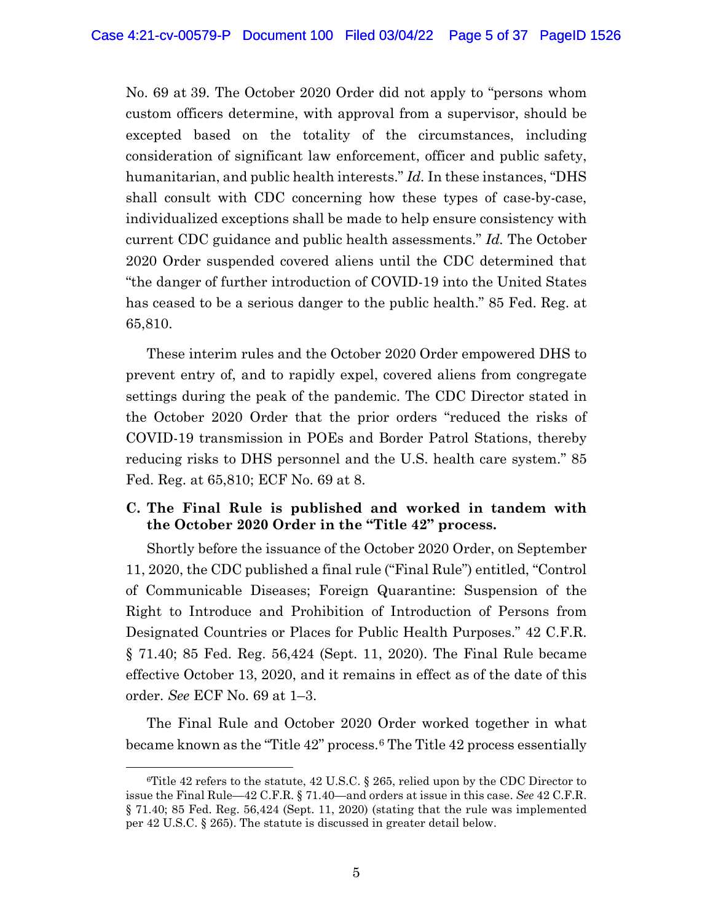No. 69 at 39. The October 2020 Order did not apply to "persons whom custom officers determine, with approval from a supervisor, should be excepted based on the totality of the circumstances, including consideration of significant law enforcement, officer and public safety, humanitarian, and public health interests." *Id.* In these instances, "DHS shall consult with CDC concerning how these types of case-by-case, individualized exceptions shall be made to help ensure consistency with current CDC guidance and public health assessments." *Id.* The October 2020 Order suspended covered aliens until the CDC determined that "the danger of further introduction of COVID-19 into the United States has ceased to be a serious danger to the public health." 85 Fed. Reg. at 65,810.

These interim rules and the October 2020 Order empowered DHS to prevent entry of, and to rapidly expel, covered aliens from congregate settings during the peak of the pandemic. The CDC Director stated in the October 2020 Order that the prior orders "reduced the risks of COVID-19 transmission in POEs and Border Patrol Stations, thereby reducing risks to DHS personnel and the U.S. health care system." 85 Fed. Reg. at 65,810; ECF No. 69 at 8.

# **C. The Final Rule is published and worked in tandem with the October 2020 Order in the "Title 42" process.**

Shortly before the issuance of the October 2020 Order, on September 11, 2020, the CDC published a final rule ("Final Rule") entitled, "Control of Communicable Diseases; Foreign Quarantine: Suspension of the Right to Introduce and Prohibition of Introduction of Persons from Designated Countries or Places for Public Health Purposes." 42 C.F.R. § 71.40; 85 Fed. Reg. 56,424 (Sept. 11, 2020). The Final Rule became effective October 13, 2020, and it remains in effect as of the date of this order. *See* ECF No. 69 at 1–3.

The Final Rule and October 2020 Order worked together in what became known as the "Title 42" process.6 The Title 42 process essentially

<sup>&</sup>lt;sup>6</sup>Title 42 refers to the statute, 42 U.S.C. § 265, relied upon by the CDC Director to issue the Final Rule—42 C.F.R. § 71.40—and orders at issue in this case. *See* 42 C.F.R. § 71.40; 85 Fed. Reg. 56,424 (Sept. 11, 2020) (stating that the rule was implemented per 42 U.S.C. § 265). The statute is discussed in greater detail below.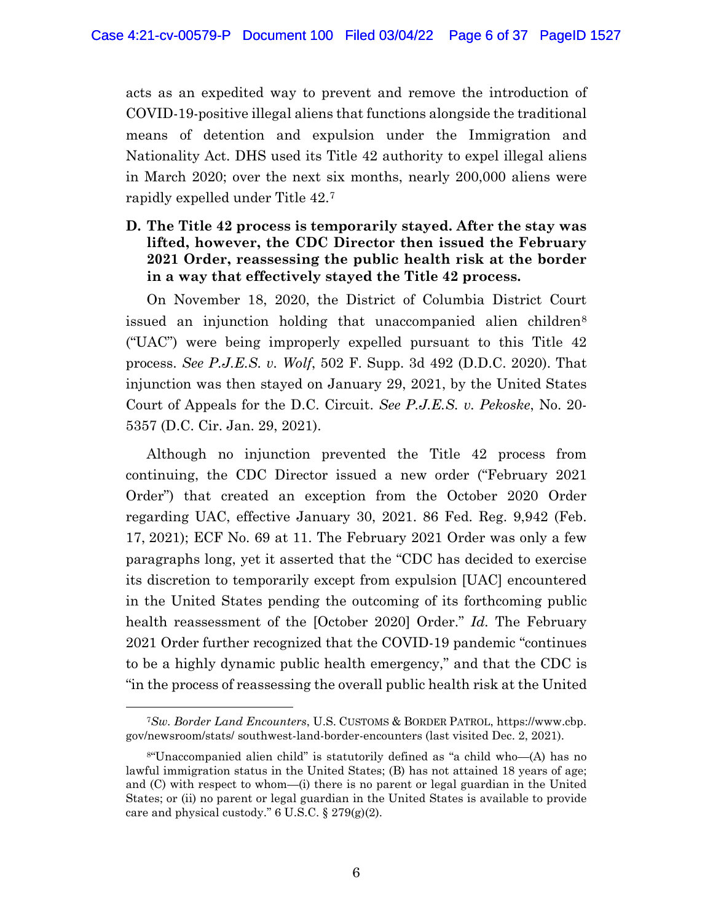acts as an expedited way to prevent and remove the introduction of COVID-19-positive illegal aliens that functions alongside the traditional means of detention and expulsion under the Immigration and Nationality Act. DHS used its Title 42 authority to expel illegal aliens in March 2020; over the next six months, nearly 200,000 aliens were rapidly expelled under Title 42.7

# **D. The Title 42 process is temporarily stayed. After the stay was lifted, however, the CDC Director then issued the February 2021 Order, reassessing the public health risk at the border in a way that effectively stayed the Title 42 process.**

On November 18, 2020, the District of Columbia District Court issued an injunction holding that unaccompanied alien children<sup>8</sup> ("UAC") were being improperly expelled pursuant to this Title 42 process. *See P.J.E.S. v. Wolf*, 502 F. Supp. 3d 492 (D.D.C. 2020). That injunction was then stayed on January 29, 2021, by the United States Court of Appeals for the D.C. Circuit. *See P.J.E.S. v. Pekoske*, No. 20- 5357 (D.C. Cir. Jan. 29, 2021).

Although no injunction prevented the Title 42 process from continuing, the CDC Director issued a new order ("February 2021 Order") that created an exception from the October 2020 Order regarding UAC, effective January 30, 2021. 86 Fed. Reg. 9,942 (Feb. 17, 2021); ECF No. 69 at 11. The February 2021 Order was only a few paragraphs long, yet it asserted that the "CDC has decided to exercise its discretion to temporarily except from expulsion [UAC] encountered in the United States pending the outcoming of its forthcoming public health reassessment of the [October 2020] Order." *Id.* The February 2021 Order further recognized that the COVID-19 pandemic "continues to be a highly dynamic public health emergency," and that the CDC is "in the process of reassessing the overall public health risk at the United

<sup>7</sup>*Sw. Border Land Encounters*, U.S. CUSTOMS & BORDER PATROL, https://www.cbp. gov/newsroom/stats/ southwest-land-border-encounters (last visited Dec. 2, 2021).

<sup>8&</sup>quot;Unaccompanied alien child" is statutorily defined as "a child who—(A) has no lawful immigration status in the United States; (B) has not attained 18 years of age; and (C) with respect to whom—(i) there is no parent or legal guardian in the United States; or (ii) no parent or legal guardian in the United States is available to provide care and physical custody." 6 U.S.C. § 279(g)(2).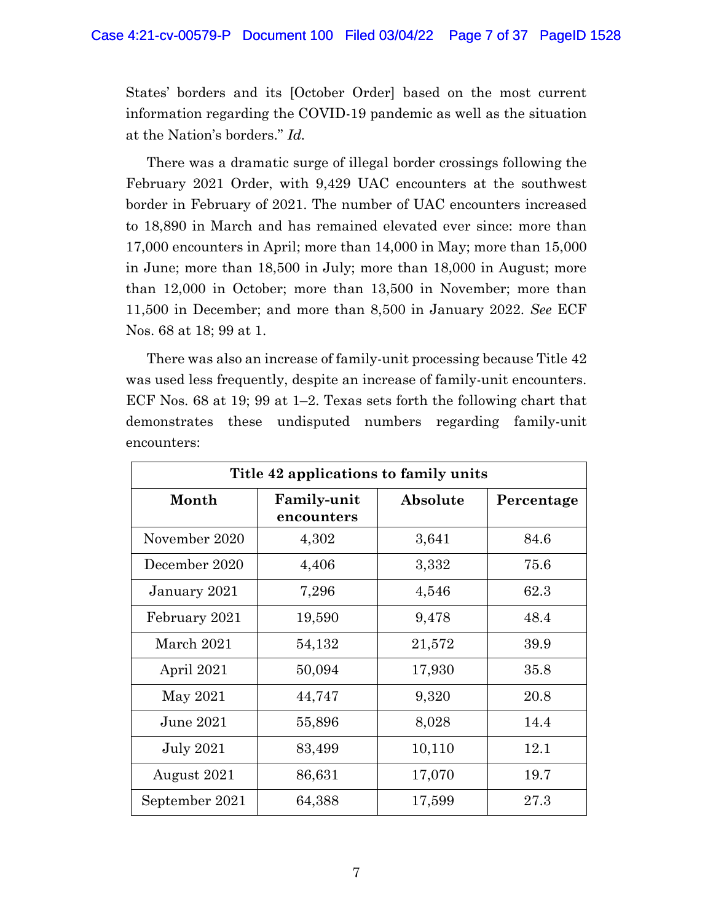States' borders and its [October Order] based on the most current information regarding the COVID-19 pandemic as well as the situation at the Nation's borders." *Id.*

There was a dramatic surge of illegal border crossings following the February 2021 Order, with 9,429 UAC encounters at the southwest border in February of 2021. The number of UAC encounters increased to 18,890 in March and has remained elevated ever since: more than 17,000 encounters in April; more than 14,000 in May; more than 15,000 in June; more than 18,500 in July; more than 18,000 in August; more than 12,000 in October; more than 13,500 in November; more than 11,500 in December; and more than 8,500 in January 2022. *See* ECF Nos. 68 at 18; 99 at 1.

There was also an increase of family-unit processing because Title 42 was used less frequently, despite an increase of family-unit encounters. ECF Nos. 68 at 19; 99 at 1–2. Texas sets forth the following chart that demonstrates these undisputed numbers regarding family-unit encounters:

| Title 42 applications to family units |                                  |          |            |  |
|---------------------------------------|----------------------------------|----------|------------|--|
| Month                                 | <b>Family-unit</b><br>encounters | Absolute | Percentage |  |
| November 2020                         | 4,302                            | 3,641    | 84.6       |  |
| December 2020                         | 4,406                            | 3,332    | 75.6       |  |
| January 2021                          | 7,296                            | 4,546    | 62.3       |  |
| February 2021                         | 19,590                           | 9,478    | 48.4       |  |
| March 2021                            | 54,132                           | 21,572   | 39.9       |  |
| April 2021                            | 50,094                           | 17,930   | 35.8       |  |
| May 2021                              | 44,747                           | 9,320    | 20.8       |  |
| June 2021                             | 55,896                           | 8,028    | 14.4       |  |
| <b>July 2021</b>                      | 83,499                           | 10,110   | 12.1       |  |
| August 2021                           | 86,631                           | 17,070   | 19.7       |  |
| September 2021                        | 64,388                           | 17,599   | 27.3       |  |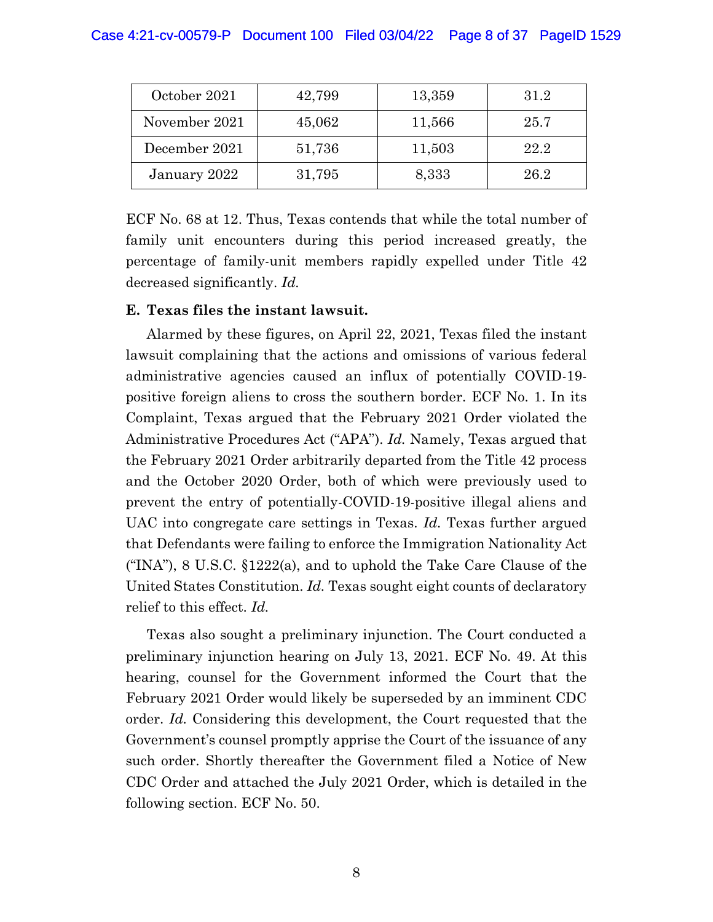# Case 4:21-cv-00579-P Document 100 Filed 03/04/22 Page 8 of 37 PageID 1529

| October 2021  | 42,799 | 13,359 | 31.2 |
|---------------|--------|--------|------|
| November 2021 | 45,062 | 11,566 | 25.7 |
| December 2021 | 51,736 | 11,503 | 22.2 |
| January 2022  | 31,795 | 8,333  | 26.2 |

ECF No. 68 at 12. Thus, Texas contends that while the total number of family unit encounters during this period increased greatly, the percentage of family-unit members rapidly expelled under Title 42 decreased significantly. *Id.*

### **E. Texas files the instant lawsuit.**

Alarmed by these figures, on April 22, 2021, Texas filed the instant lawsuit complaining that the actions and omissions of various federal administrative agencies caused an influx of potentially COVID-19 positive foreign aliens to cross the southern border. ECF No. 1. In its Complaint, Texas argued that the February 2021 Order violated the Administrative Procedures Act ("APA"). *Id.* Namely, Texas argued that the February 2021 Order arbitrarily departed from the Title 42 process and the October 2020 Order, both of which were previously used to prevent the entry of potentially-COVID-19-positive illegal aliens and UAC into congregate care settings in Texas. *Id.* Texas further argued that Defendants were failing to enforce the Immigration Nationality Act ("INA"), 8 U.S.C.  $\S 1222(a)$ , and to uphold the Take Care Clause of the United States Constitution. *Id.* Texas sought eight counts of declaratory relief to this effect. *Id.* 

Texas also sought a preliminary injunction. The Court conducted a preliminary injunction hearing on July 13, 2021. ECF No. 49. At this hearing, counsel for the Government informed the Court that the February 2021 Order would likely be superseded by an imminent CDC order. *Id.* Considering this development, the Court requested that the Government's counsel promptly apprise the Court of the issuance of any such order. Shortly thereafter the Government filed a Notice of New CDC Order and attached the July 2021 Order, which is detailed in the following section. ECF No. 50.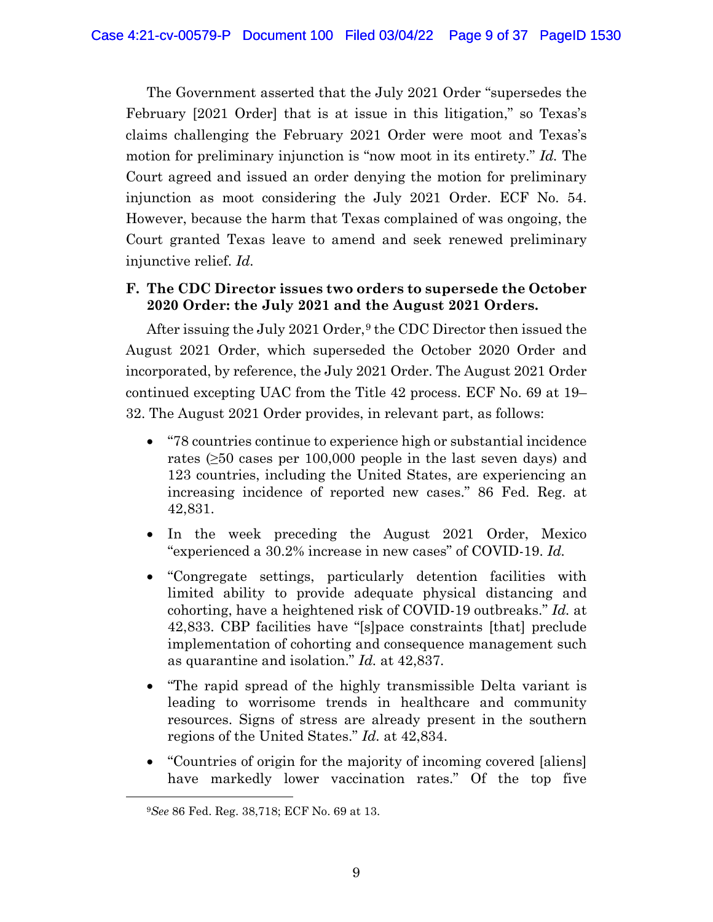The Government asserted that the July 2021 Order "supersedes the February [2021 Order] that is at issue in this litigation," so Texas's claims challenging the February 2021 Order were moot and Texas's motion for preliminary injunction is "now moot in its entirety." *Id.* The Court agreed and issued an order denying the motion for preliminary injunction as moot considering the July 2021 Order. ECF No. 54. However, because the harm that Texas complained of was ongoing, the Court granted Texas leave to amend and seek renewed preliminary injunctive relief. *Id.*

# **F. The CDC Director issues two orders to supersede the October 2020 Order: the July 2021 and the August 2021 Orders.**

After issuing the July 2021 Order,<sup>9</sup> the CDC Director then issued the August 2021 Order, which superseded the October 2020 Order and incorporated, by reference, the July 2021 Order. The August 2021 Order continued excepting UAC from the Title 42 process. ECF No. 69 at 19– 32. The August 2021 Order provides, in relevant part, as follows:

- "78 countries continue to experience high or substantial incidence rates (≥50 cases per 100,000 people in the last seven days) and 123 countries, including the United States, are experiencing an increasing incidence of reported new cases." 86 Fed. Reg. at 42,831.
- In the week preceding the August 2021 Order, Mexico "experienced a 30.2% increase in new cases" of COVID-19. *Id.*
- "Congregate settings, particularly detention facilities with limited ability to provide adequate physical distancing and cohorting, have a heightened risk of COVID-19 outbreaks." *Id.* at 42,833. CBP facilities have "[s]pace constraints [that] preclude implementation of cohorting and consequence management such as quarantine and isolation." *Id.* at 42,837.
- "The rapid spread of the highly transmissible Delta variant is leading to worrisome trends in healthcare and community resources. Signs of stress are already present in the southern regions of the United States." *Id.* at 42,834.
- "Countries of origin for the majority of incoming covered [aliens] have markedly lower vaccination rates." Of the top five

<sup>9</sup>*See* 86 Fed. Reg. 38,718; ECF No. 69 at 13.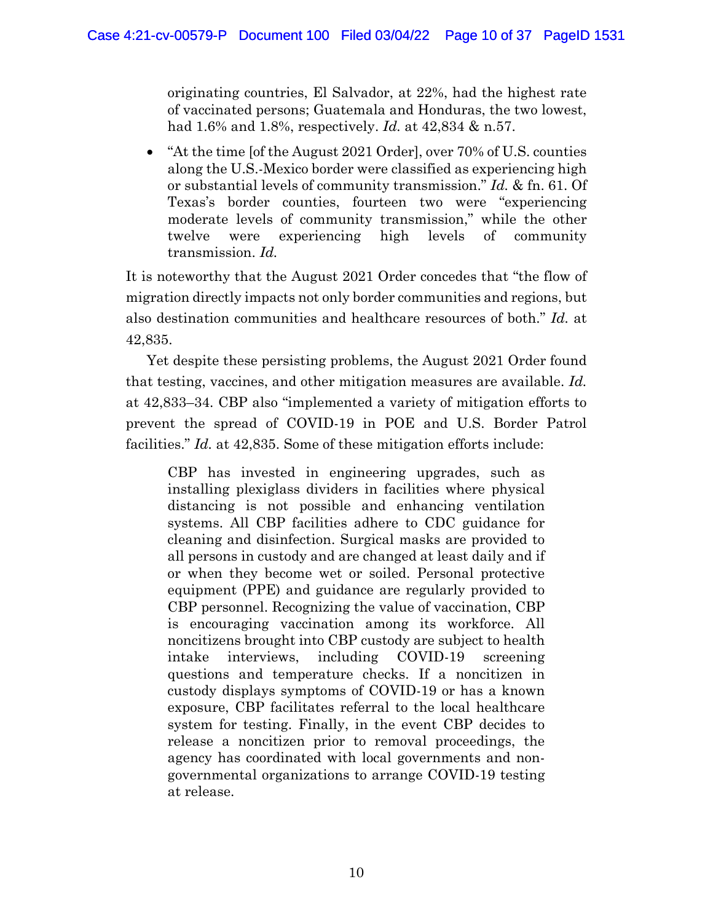originating countries, El Salvador, at 22%, had the highest rate of vaccinated persons; Guatemala and Honduras, the two lowest, had 1.6% and 1.8%, respectively. *Id.* at 42,834 & n.57.

• "At the time [of the August 2021 Order], over 70% of U.S. counties along the U.S.-Mexico border were classified as experiencing high or substantial levels of community transmission." *Id.* & fn. 61. Of Texas's border counties, fourteen two were "experiencing moderate levels of community transmission," while the other twelve were experiencing high levels of community transmission. *Id.* 

It is noteworthy that the August 2021 Order concedes that "the flow of migration directly impacts not only border communities and regions, but also destination communities and healthcare resources of both." *Id.* at 42,835.

Yet despite these persisting problems, the August 2021 Order found that testing, vaccines, and other mitigation measures are available. *Id.*  at 42,833–34. CBP also "implemented a variety of mitigation efforts to prevent the spread of COVID-19 in POE and U.S. Border Patrol facilities." *Id.* at 42,835. Some of these mitigation efforts include:

CBP has invested in engineering upgrades, such as installing plexiglass dividers in facilities where physical distancing is not possible and enhancing ventilation systems. All CBP facilities adhere to CDC guidance for cleaning and disinfection. Surgical masks are provided to all persons in custody and are changed at least daily and if or when they become wet or soiled. Personal protective equipment (PPE) and guidance are regularly provided to CBP personnel. Recognizing the value of vaccination, CBP is encouraging vaccination among its workforce. All noncitizens brought into CBP custody are subject to health intake interviews, including COVID-19 screening questions and temperature checks. If a noncitizen in custody displays symptoms of COVID-19 or has a known exposure, CBP facilitates referral to the local healthcare system for testing. Finally, in the event CBP decides to release a noncitizen prior to removal proceedings, the agency has coordinated with local governments and nongovernmental organizations to arrange COVID-19 testing at release.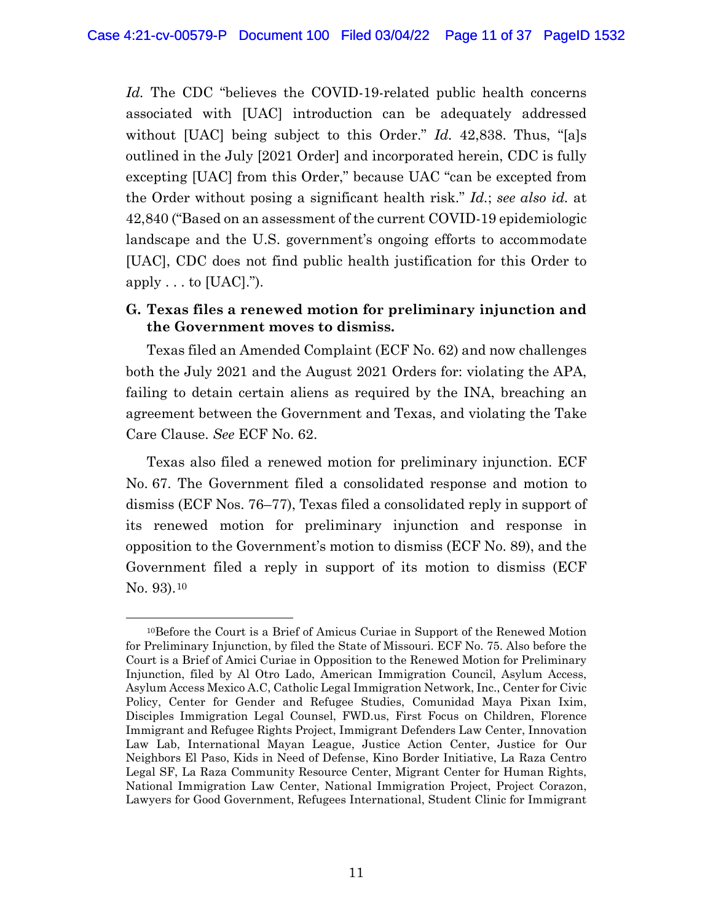*Id.* The CDC "believes the COVID-19-related public health concerns associated with [UAC] introduction can be adequately addressed without [UAC] being subject to this Order." *Id.* 42,838. Thus, "[a]s outlined in the July [2021 Order] and incorporated herein, CDC is fully excepting [UAC] from this Order," because UAC "can be excepted from the Order without posing a significant health risk." *Id.*; *see also id.* at 42,840 ("Based on an assessment of the current COVID-19 epidemiologic landscape and the U.S. government's ongoing efforts to accommodate [UAC], CDC does not find public health justification for this Order to apply  $\dots$  to [UAC].").

# **G. Texas files a renewed motion for preliminary injunction and the Government moves to dismiss.**

Texas filed an Amended Complaint (ECF No. 62) and now challenges both the July 2021 and the August 2021 Orders for: violating the APA, failing to detain certain aliens as required by the INA, breaching an agreement between the Government and Texas, and violating the Take Care Clause. *See* ECF No. 62.

Texas also filed a renewed motion for preliminary injunction. ECF No. 67. The Government filed a consolidated response and motion to dismiss (ECF Nos. 76–77), Texas filed a consolidated reply in support of its renewed motion for preliminary injunction and response in opposition to the Government's motion to dismiss (ECF No. 89), and the Government filed a reply in support of its motion to dismiss (ECF No. 93).10

<sup>10</sup>Before the Court is a Brief of Amicus Curiae in Support of the Renewed Motion for Preliminary Injunction, by filed the State of Missouri. ECF No. 75. Also before the Court is a Brief of Amici Curiae in Opposition to the Renewed Motion for Preliminary Injunction, filed by Al Otro Lado, American Immigration Council, Asylum Access, Asylum Access Mexico A.C, Catholic Legal Immigration Network, Inc., Center for Civic Policy, Center for Gender and Refugee Studies, Comunidad Maya Pixan Ixim, Disciples Immigration Legal Counsel, FWD.us, First Focus on Children, Florence Immigrant and Refugee Rights Project, Immigrant Defenders Law Center, Innovation Law Lab, International Mayan League, Justice Action Center, Justice for Our Neighbors El Paso, Kids in Need of Defense, Kino Border Initiative, La Raza Centro Legal SF, La Raza Community Resource Center, Migrant Center for Human Rights, National Immigration Law Center, National Immigration Project, Project Corazon, Lawyers for Good Government, Refugees International, Student Clinic for Immigrant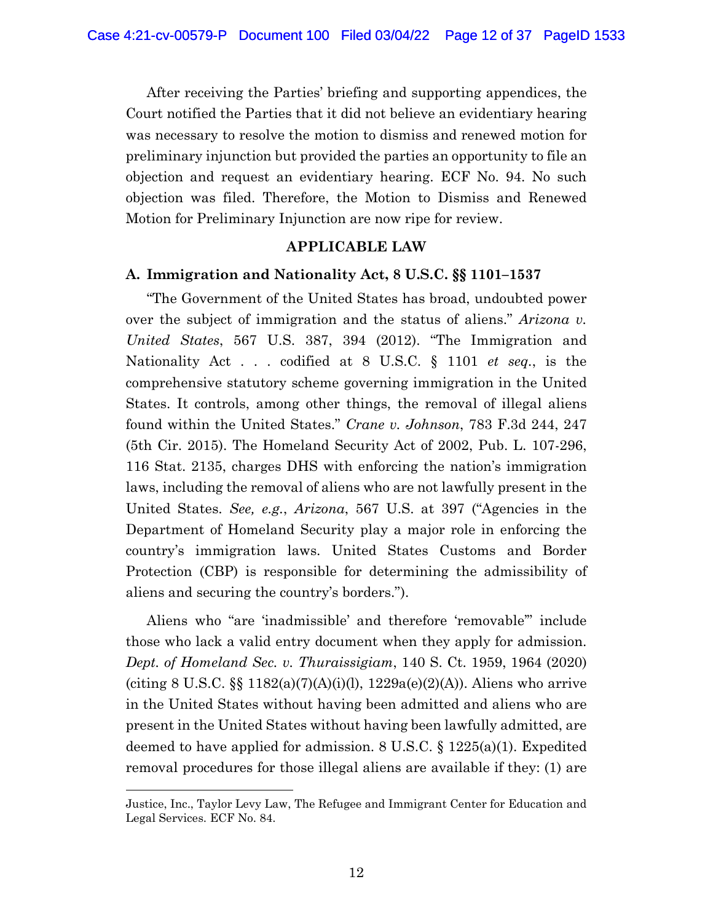After receiving the Parties' briefing and supporting appendices, the Court notified the Parties that it did not believe an evidentiary hearing was necessary to resolve the motion to dismiss and renewed motion for preliminary injunction but provided the parties an opportunity to file an objection and request an evidentiary hearing. ECF No. 94. No such objection was filed. Therefore, the Motion to Dismiss and Renewed Motion for Preliminary Injunction are now ripe for review.

#### **APPLICABLE LAW**

#### **A. Immigration and Nationality Act, 8 U.S.C. §§ 1101–1537**

"The Government of the United States has broad, undoubted power over the subject of immigration and the status of aliens." *Arizona v. United States*, 567 U.S. 387, 394 (2012). "The Immigration and Nationality Act . . . codified at 8 U.S.C. § 1101 *et seq.*, is the comprehensive statutory scheme governing immigration in the United States. It controls, among other things, the removal of illegal aliens found within the United States." *Crane v. Johnson*, 783 F.3d 244, 247 (5th Cir. 2015). The Homeland Security Act of 2002, Pub. L. 107-296, 116 Stat. 2135, charges DHS with enforcing the nation's immigration laws, including the removal of aliens who are not lawfully present in the United States. *See, e.g.*, *Arizona*, 567 U.S. at 397 ("Agencies in the Department of Homeland Security play a major role in enforcing the country's immigration laws. United States Customs and Border Protection (CBP) is responsible for determining the admissibility of aliens and securing the country's borders.").

Aliens who "are 'inadmissible' and therefore 'removable'" include those who lack a valid entry document when they apply for admission. *Dept. of Homeland Sec. v. Thuraissigiam*, 140 S. Ct. 1959, 1964 (2020) (citing 8 U.S.C.  $\S$  1182(a)(7)(A)(i)(l), 1229a(e)(2)(A)). Aliens who arrive in the United States without having been admitted and aliens who are present in the United States without having been lawfully admitted, are deemed to have applied for admission. 8 U.S.C.  $\S 1225(a)(1)$ . Expedited removal procedures for those illegal aliens are available if they: (1) are

Justice, Inc., Taylor Levy Law, The Refugee and Immigrant Center for Education and Legal Services. ECF No. 84.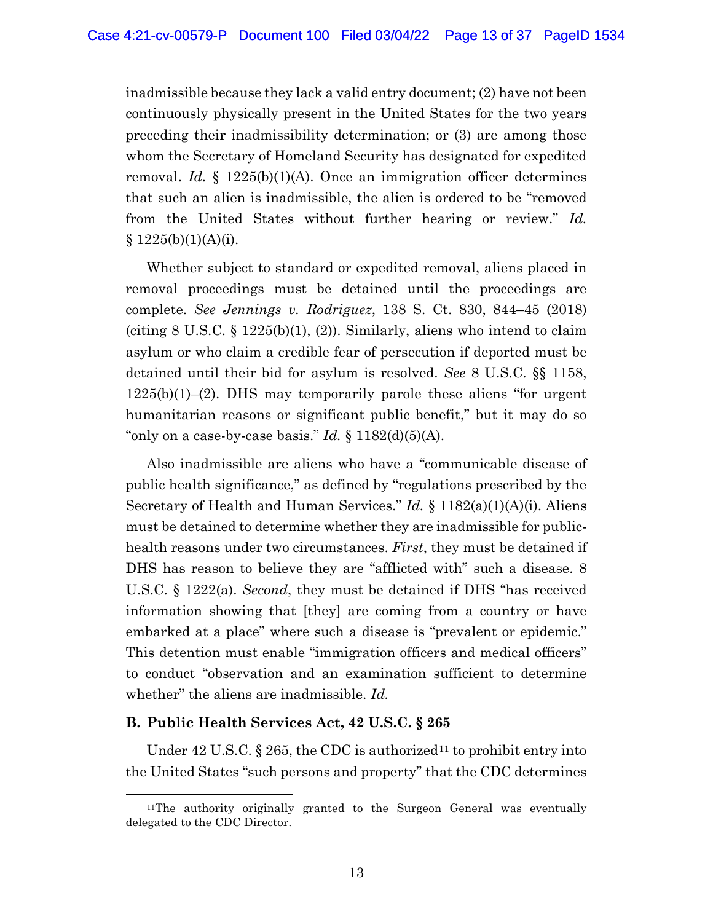inadmissible because they lack a valid entry document; (2) have not been continuously physically present in the United States for the two years preceding their inadmissibility determination; or (3) are among those whom the Secretary of Homeland Security has designated for expedited removal. *Id.* § 1225(b)(1)(A). Once an immigration officer determines that such an alien is inadmissible, the alien is ordered to be "removed from the United States without further hearing or review." *Id.*   $§ 1225(b)(1)(A)(i).$ 

Whether subject to standard or expedited removal, aliens placed in removal proceedings must be detained until the proceedings are complete. *See Jennings v. Rodriguez*, 138 S. Ct. 830, 844–45 (2018) (citing  $8 \text{ U.S.C. } \S 1225 \text{ (b)}(1), (2)$ ). Similarly, aliens who intend to claim asylum or who claim a credible fear of persecution if deported must be detained until their bid for asylum is resolved. *See* 8 U.S.C. §§ 1158, 1225(b)(1)–(2). DHS may temporarily parole these aliens "for urgent humanitarian reasons or significant public benefit," but it may do so "only on a case-by-case basis."  $Id. \S 1182(d)(5)(A)$ .

Also inadmissible are aliens who have a "communicable disease of public health significance," as defined by "regulations prescribed by the Secretary of Health and Human Services." *Id.* § 1182(a)(1)(A)(i). Aliens must be detained to determine whether they are inadmissible for publichealth reasons under two circumstances. *First*, they must be detained if DHS has reason to believe they are "afflicted with" such a disease. 8 U.S.C. § 1222(a). *Second*, they must be detained if DHS "has received information showing that [they] are coming from a country or have embarked at a place" where such a disease is "prevalent or epidemic." This detention must enable "immigration officers and medical officers" to conduct "observation and an examination sufficient to determine whether" the aliens are inadmissible. *Id.*

### **B. Public Health Services Act, 42 U.S.C. § 265**

Under 42 U.S.C. § 265, the CDC is authorized<sup>11</sup> to prohibit entry into the United States "such persons and property" that the CDC determines

<sup>11</sup>The authority originally granted to the Surgeon General was eventually delegated to the CDC Director.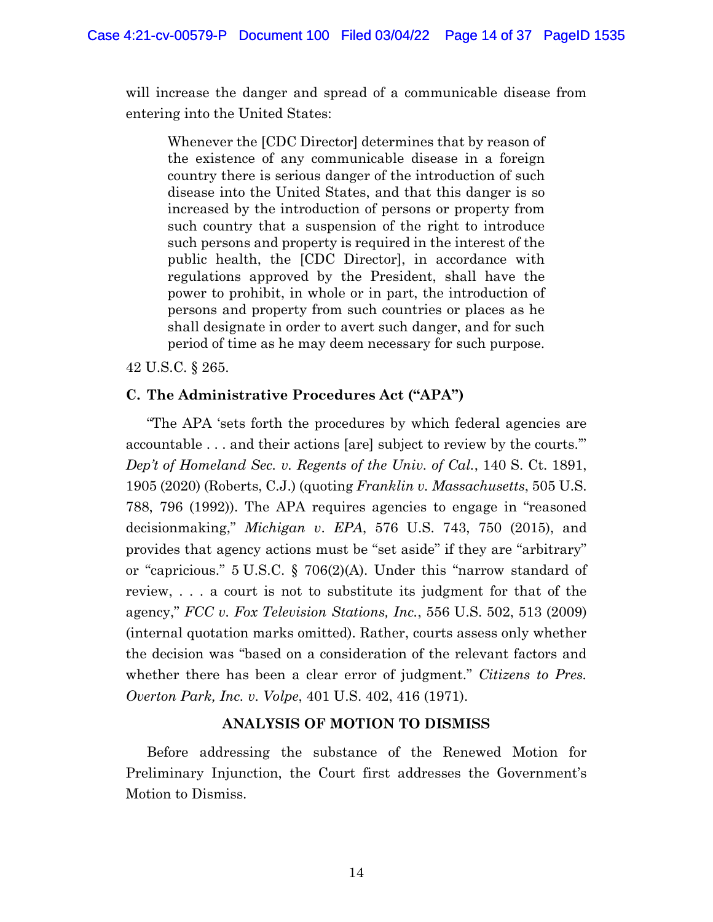will increase the danger and spread of a communicable disease from entering into the United States:

Whenever the [CDC Director] determines that by reason of the existence of any communicable disease in a foreign country there is serious danger of the introduction of such disease into the United States, and that this danger is so increased by the introduction of persons or property from such country that a suspension of the right to introduce such persons and property is required in the interest of the public health, the [CDC Director], in accordance with regulations approved by the President, shall have the power to prohibit, in whole or in part, the introduction of persons and property from such countries or places as he shall designate in order to avert such danger, and for such period of time as he may deem necessary for such purpose.

42 U.S.C. § 265.

#### **C. The Administrative Procedures Act ("APA")**

"The APA 'sets forth the procedures by which federal agencies are accountable . . . and their actions [are] subject to review by the courts.'" *Dep't of Homeland Sec. v. Regents of the Univ. of Cal.*, 140 S. Ct. 1891, 1905 (2020) (Roberts, C.J.) (quoting *Franklin v. Massachusetts*, 505 U.S. 788, 796 (1992)). The APA requires agencies to engage in "reasoned decisionmaking," *Michigan v*. *EPA*, 576 U.S. 743, 750 (2015), and provides that agency actions must be "set aside" if they are "arbitrary" or "capricious." 5 U.S.C. § 706(2)(A). Under this "narrow standard of review, . . . a court is not to substitute its judgment for that of the agency," *FCC v. Fox Television Stations, Inc.*, 556 U.S. 502, 513 (2009) (internal quotation marks omitted). Rather, courts assess only whether the decision was "based on a consideration of the relevant factors and whether there has been a clear error of judgment." *Citizens to Pres. Overton Park, Inc. v. Volpe*, 401 U.S. 402, 416 (1971).

### **ANALYSIS OF MOTION TO DISMISS**

Before addressing the substance of the Renewed Motion for Preliminary Injunction, the Court first addresses the Government's Motion to Dismiss.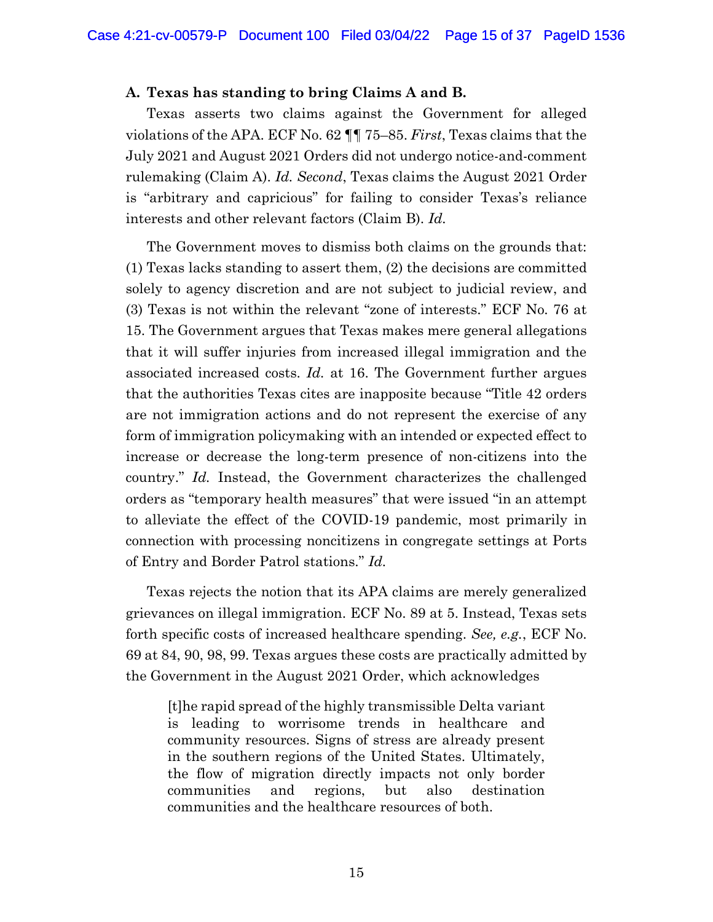#### **A. Texas has standing to bring Claims A and B.**

Texas asserts two claims against the Government for alleged violations of the APA. ECF No. 62 ¶¶ 75–85. *First*, Texas claims that the July 2021 and August 2021 Orders did not undergo notice-and-comment rulemaking (Claim A). *Id. Second*, Texas claims the August 2021 Order is "arbitrary and capricious" for failing to consider Texas's reliance interests and other relevant factors (Claim B). *Id.*

The Government moves to dismiss both claims on the grounds that: (1) Texas lacks standing to assert them, (2) the decisions are committed solely to agency discretion and are not subject to judicial review, and (3) Texas is not within the relevant "zone of interests." ECF No. 76 at 15. The Government argues that Texas makes mere general allegations that it will suffer injuries from increased illegal immigration and the associated increased costs. *Id.* at 16. The Government further argues that the authorities Texas cites are inapposite because "Title 42 orders are not immigration actions and do not represent the exercise of any form of immigration policymaking with an intended or expected effect to increase or decrease the long-term presence of non-citizens into the country." *Id.* Instead, the Government characterizes the challenged orders as "temporary health measures" that were issued "in an attempt to alleviate the effect of the COVID-19 pandemic, most primarily in connection with processing noncitizens in congregate settings at Ports of Entry and Border Patrol stations." *Id.* 

Texas rejects the notion that its APA claims are merely generalized grievances on illegal immigration. ECF No. 89 at 5. Instead, Texas sets forth specific costs of increased healthcare spending. *See, e.g.*, ECF No. 69 at 84, 90, 98, 99. Texas argues these costs are practically admitted by the Government in the August 2021 Order, which acknowledges

[t]he rapid spread of the highly transmissible Delta variant is leading to worrisome trends in healthcare and community resources. Signs of stress are already present in the southern regions of the United States. Ultimately, the flow of migration directly impacts not only border communities and regions, but also destination communities and the healthcare resources of both.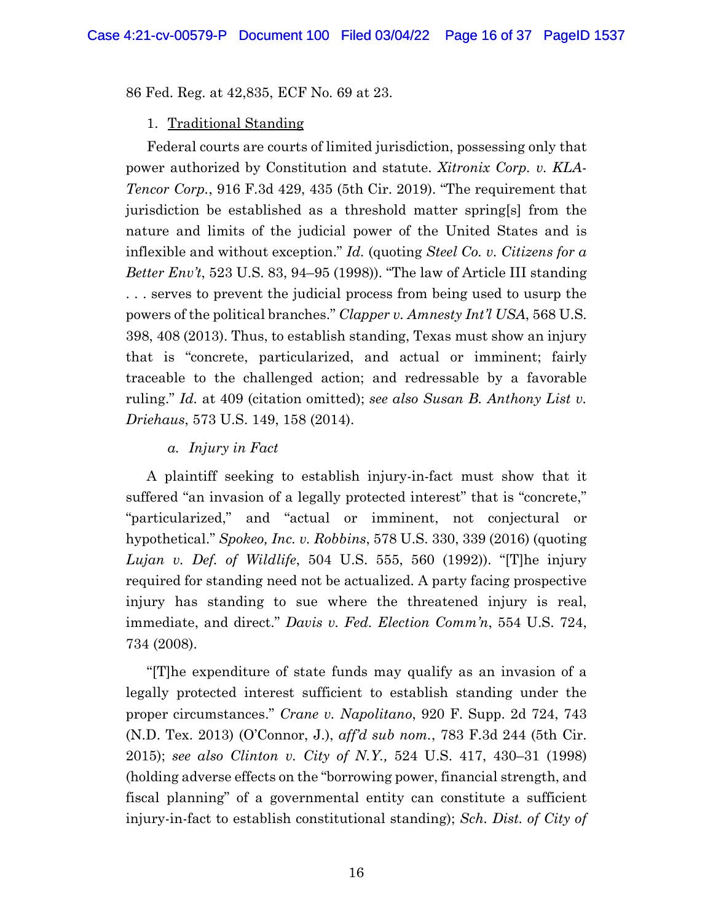86 Fed. Reg. at 42,835, ECF No. 69 at 23.

### 1. Traditional Standing

Federal courts are courts of limited jurisdiction, possessing only that power authorized by Constitution and statute. *Xitronix Corp. v. KLA-Tencor Corp.*, 916 F.3d 429, 435 (5th Cir. 2019). "The requirement that jurisdiction be established as a threshold matter spring[s] from the nature and limits of the judicial power of the United States and is inflexible and without exception." *Id.* (quoting *Steel Co. v. Citizens for a Better Env't*, 523 U.S. 83, 94–95 (1998)). "The law of Article III standing . . . serves to prevent the judicial process from being used to usurp the powers of the political branches." *Clapper v. Amnesty Int'l USA*, 568 U.S. 398, 408 (2013). Thus, to establish standing, Texas must show an injury that is "concrete, particularized, and actual or imminent; fairly traceable to the challenged action; and redressable by a favorable ruling." *Id.* at 409 (citation omitted); *see also Susan B. Anthony List v. Driehaus*, 573 U.S. 149, 158 (2014).

# *a. Injury in Fact*

A plaintiff seeking to establish injury-in-fact must show that it suffered "an invasion of a legally protected interest" that is "concrete," "particularized," and "actual or imminent, not conjectural or hypothetical." *Spokeo, Inc. v. Robbins*, 578 U.S. 330, 339 (2016) (quoting *Lujan v. Def. of Wildlife*, 504 U.S. 555, 560 (1992)). "[T]he injury required for standing need not be actualized. A party facing prospective injury has standing to sue where the threatened injury is real, immediate, and direct." *Davis v. Fed. Election Comm'n*, 554 U.S. 724, 734 (2008).

"[T]he expenditure of state funds may qualify as an invasion of a legally protected interest sufficient to establish standing under the proper circumstances." *Crane v. Napolitano*, 920 F. Supp. 2d 724, 743 (N.D. Tex. 2013) (O'Connor, J.), *aff'd sub nom.*, 783 F.3d 244 (5th Cir. 2015); *see also Clinton v. City of N.Y.,* 524 U.S. 417, 430–31 (1998) (holding adverse effects on the "borrowing power, financial strength, and fiscal planning" of a governmental entity can constitute a sufficient injury-in-fact to establish constitutional standing); *Sch. Dist. of City of*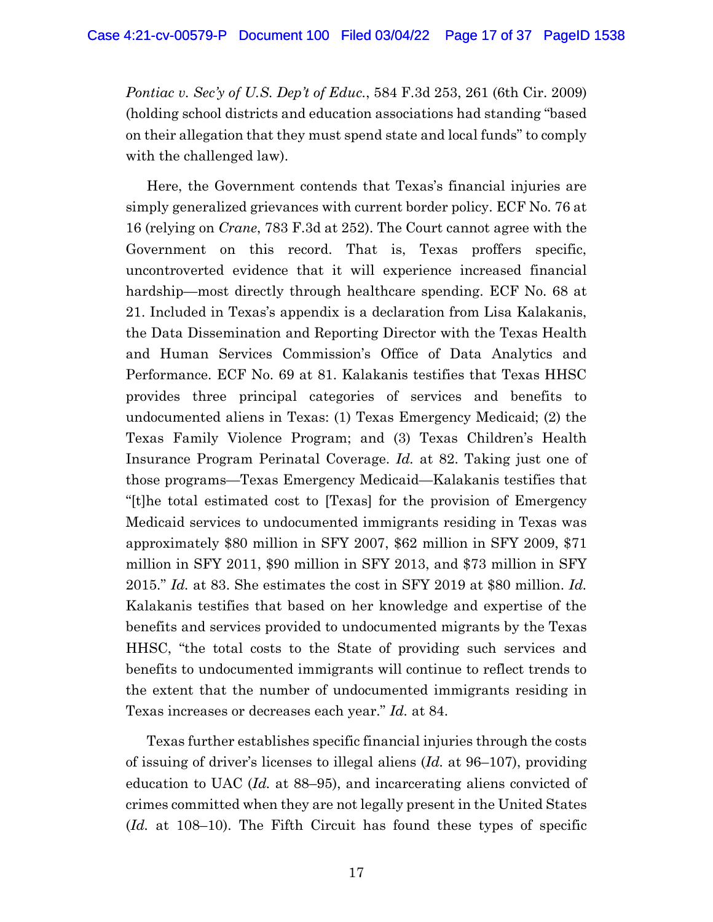*Pontiac v. Sec'y of U.S. Dep't of Educ.*, 584 F.3d 253, 261 (6th Cir. 2009) (holding school districts and education associations had standing "based on their allegation that they must spend state and local funds" to comply with the challenged law).

Here, the Government contends that Texas's financial injuries are simply generalized grievances with current border policy. ECF No. 76 at 16 (relying on *Crane*, 783 F.3d at 252). The Court cannot agree with the Government on this record. That is, Texas proffers specific, uncontroverted evidence that it will experience increased financial hardship—most directly through healthcare spending. ECF No. 68 at 21. Included in Texas's appendix is a declaration from Lisa Kalakanis, the Data Dissemination and Reporting Director with the Texas Health and Human Services Commission's Office of Data Analytics and Performance. ECF No. 69 at 81. Kalakanis testifies that Texas HHSC provides three principal categories of services and benefits to undocumented aliens in Texas: (1) Texas Emergency Medicaid; (2) the Texas Family Violence Program; and (3) Texas Children's Health Insurance Program Perinatal Coverage. *Id.* at 82. Taking just one of those programs—Texas Emergency Medicaid—Kalakanis testifies that "[t]he total estimated cost to [Texas] for the provision of Emergency Medicaid services to undocumented immigrants residing in Texas was approximately \$80 million in SFY 2007, \$62 million in SFY 2009, \$71 million in SFY 2011, \$90 million in SFY 2013, and \$73 million in SFY 2015." *Id.* at 83. She estimates the cost in SFY 2019 at \$80 million. *Id.*  Kalakanis testifies that based on her knowledge and expertise of the benefits and services provided to undocumented migrants by the Texas HHSC, "the total costs to the State of providing such services and benefits to undocumented immigrants will continue to reflect trends to the extent that the number of undocumented immigrants residing in Texas increases or decreases each year." *Id.* at 84.

Texas further establishes specific financial injuries through the costs of issuing of driver's licenses to illegal aliens (*Id.* at 96–107), providing education to UAC (*Id.* at 88–95), and incarcerating aliens convicted of crimes committed when they are not legally present in the United States (*Id.* at 108–10). The Fifth Circuit has found these types of specific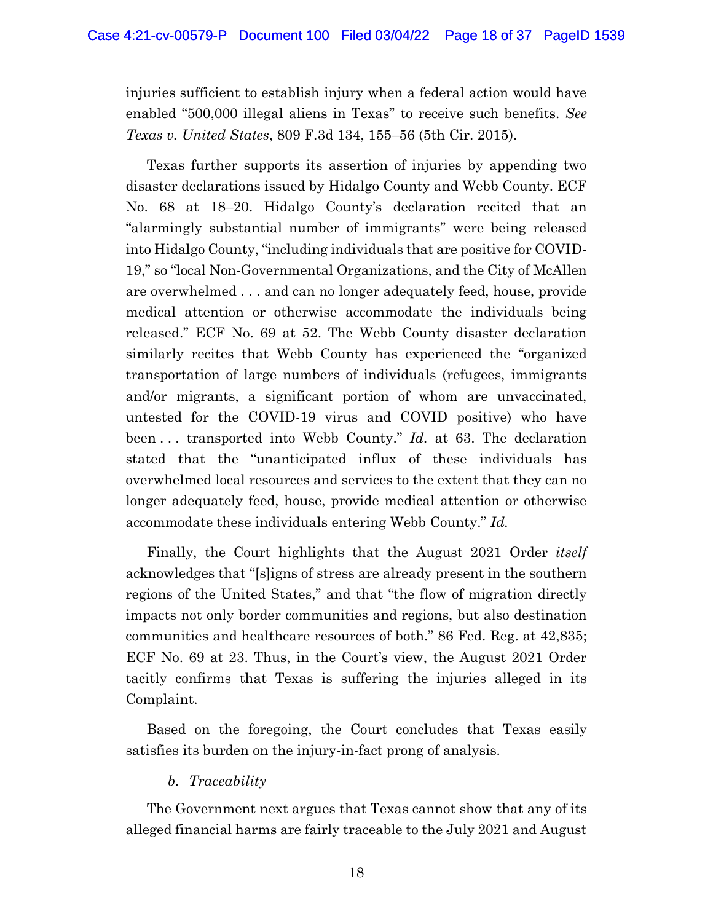injuries sufficient to establish injury when a federal action would have enabled "500,000 illegal aliens in Texas" to receive such benefits. *See Texas v. United States*, 809 F.3d 134, 155–56 (5th Cir. 2015).

Texas further supports its assertion of injuries by appending two disaster declarations issued by Hidalgo County and Webb County. ECF No. 68 at 18–20. Hidalgo County's declaration recited that an "alarmingly substantial number of immigrants" were being released into Hidalgo County, "including individuals that are positive for COVID-19," so "local Non-Governmental Organizations, and the City of McAllen are overwhelmed . . . and can no longer adequately feed, house, provide medical attention or otherwise accommodate the individuals being released." ECF No. 69 at 52. The Webb County disaster declaration similarly recites that Webb County has experienced the "organized transportation of large numbers of individuals (refugees, immigrants and/or migrants, a significant portion of whom are unvaccinated, untested for the COVID-19 virus and COVID positive) who have been . . . transported into Webb County." *Id.* at 63. The declaration stated that the "unanticipated influx of these individuals has overwhelmed local resources and services to the extent that they can no longer adequately feed, house, provide medical attention or otherwise accommodate these individuals entering Webb County." *Id.*

Finally, the Court highlights that the August 2021 Order *itself*  acknowledges that "[s]igns of stress are already present in the southern regions of the United States," and that "the flow of migration directly impacts not only border communities and regions, but also destination communities and healthcare resources of both." 86 Fed. Reg. at 42,835; ECF No. 69 at 23. Thus, in the Court's view, the August 2021 Order tacitly confirms that Texas is suffering the injuries alleged in its Complaint.

Based on the foregoing, the Court concludes that Texas easily satisfies its burden on the injury-in-fact prong of analysis.

### *b. Traceability*

The Government next argues that Texas cannot show that any of its alleged financial harms are fairly traceable to the July 2021 and August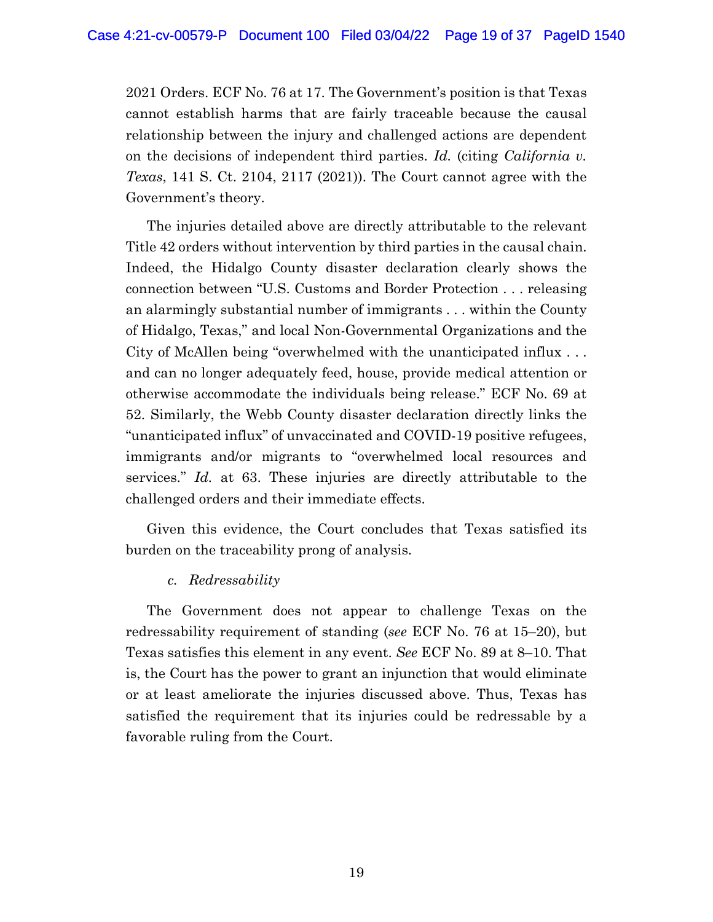2021 Orders. ECF No. 76 at 17. The Government's position is that Texas cannot establish harms that are fairly traceable because the causal relationship between the injury and challenged actions are dependent on the decisions of independent third parties. *Id.* (citing *California v. Texas*, 141 S. Ct. 2104, 2117 (2021)). The Court cannot agree with the Government's theory.

The injuries detailed above are directly attributable to the relevant Title 42 orders without intervention by third parties in the causal chain. Indeed, the Hidalgo County disaster declaration clearly shows the connection between "U.S. Customs and Border Protection . . . releasing an alarmingly substantial number of immigrants . . . within the County of Hidalgo, Texas," and local Non-Governmental Organizations and the City of McAllen being "overwhelmed with the unanticipated influx . . . and can no longer adequately feed, house, provide medical attention or otherwise accommodate the individuals being release." ECF No. 69 at 52. Similarly, the Webb County disaster declaration directly links the "unanticipated influx" of unvaccinated and COVID-19 positive refugees, immigrants and/or migrants to "overwhelmed local resources and services." *Id.* at 63. These injuries are directly attributable to the challenged orders and their immediate effects.

Given this evidence, the Court concludes that Texas satisfied its burden on the traceability prong of analysis.

### *c. Redressability*

The Government does not appear to challenge Texas on the redressability requirement of standing (*see* ECF No. 76 at 15–20), but Texas satisfies this element in any event. *See* ECF No. 89 at 8–10. That is, the Court has the power to grant an injunction that would eliminate or at least ameliorate the injuries discussed above. Thus, Texas has satisfied the requirement that its injuries could be redressable by a favorable ruling from the Court.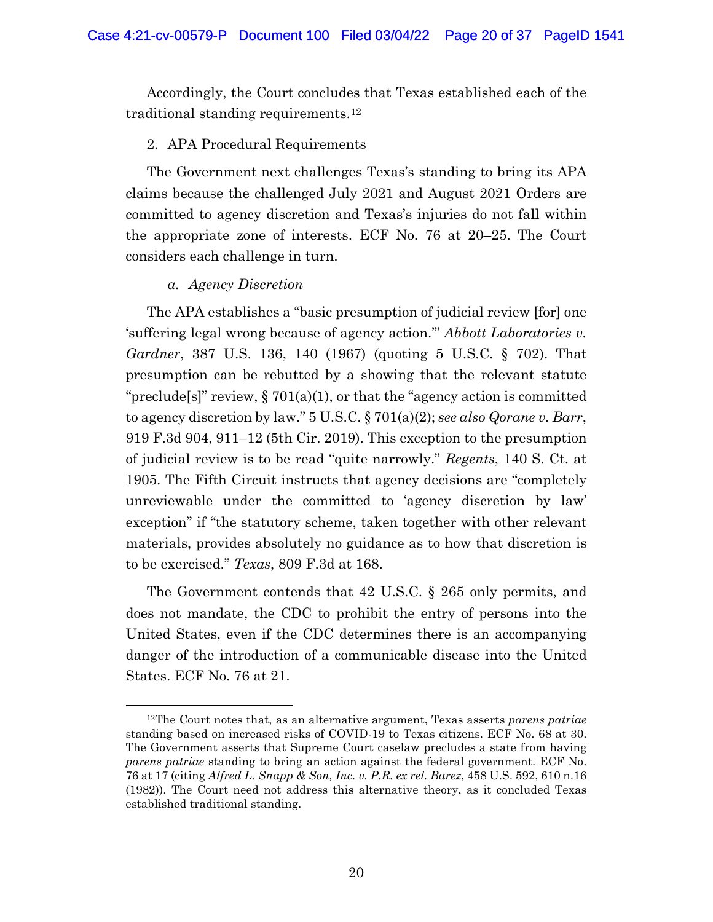Accordingly, the Court concludes that Texas established each of the traditional standing requirements.12

#### 2. APA Procedural Requirements

The Government next challenges Texas's standing to bring its APA claims because the challenged July 2021 and August 2021 Orders are committed to agency discretion and Texas's injuries do not fall within the appropriate zone of interests. ECF No. 76 at 20–25. The Court considers each challenge in turn.

#### *a. Agency Discretion*

The APA establishes a "basic presumption of judicial review [for] one 'suffering legal wrong because of agency action.'" *Abbott Laboratories v. Gardner*, 387 U.S. 136, 140 (1967) (quoting 5 U.S.C. § 702). That presumption can be rebutted by a showing that the relevant statute "preclude[s]" review,  $\S 701(a)(1)$ , or that the "agency action is committed to agency discretion by law." 5 U.S.C. § 701(a)(2); *see also Qorane v. Barr*, 919 F.3d 904, 911–12 (5th Cir. 2019). This exception to the presumption of judicial review is to be read "quite narrowly." *Regents*, 140 S. Ct. at 1905. The Fifth Circuit instructs that agency decisions are "completely unreviewable under the committed to 'agency discretion by law' exception" if "the statutory scheme, taken together with other relevant materials, provides absolutely no guidance as to how that discretion is to be exercised." *Texas*, 809 F.3d at 168.

The Government contends that 42 U.S.C. § 265 only permits, and does not mandate, the CDC to prohibit the entry of persons into the United States, even if the CDC determines there is an accompanying danger of the introduction of a communicable disease into the United States. ECF No. 76 at 21.

<sup>12</sup>The Court notes that, as an alternative argument, Texas asserts *parens patriae* standing based on increased risks of COVID-19 to Texas citizens. ECF No. 68 at 30. The Government asserts that Supreme Court caselaw precludes a state from having *parens patriae* standing to bring an action against the federal government. ECF No. 76 at 17 (citing *Alfred L. Snapp & Son, Inc. v. P.R. ex rel. Barez*, 458 U.S. 592, 610 n.16 (1982)). The Court need not address this alternative theory, as it concluded Texas established traditional standing.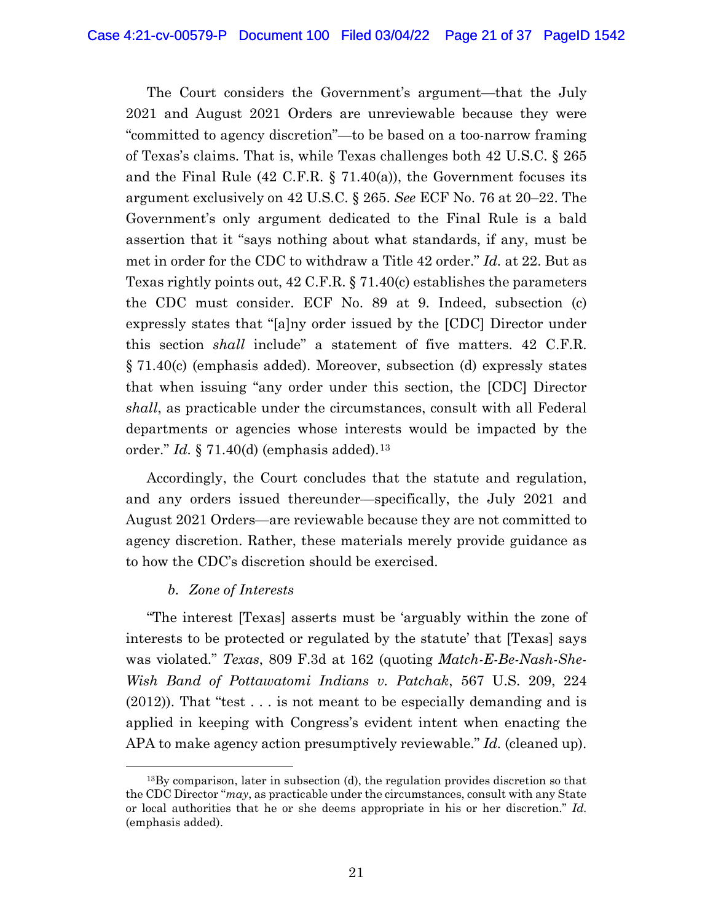The Court considers the Government's argument—that the July 2021 and August 2021 Orders are unreviewable because they were "committed to agency discretion"—to be based on a too-narrow framing of Texas's claims. That is, while Texas challenges both 42 U.S.C. § 265 and the Final Rule (42 C.F.R.  $\S$  71.40(a)), the Government focuses its argument exclusively on 42 U.S.C. § 265. *See* ECF No. 76 at 20–22. The Government's only argument dedicated to the Final Rule is a bald assertion that it "says nothing about what standards, if any, must be met in order for the CDC to withdraw a Title 42 order." *Id.* at 22. But as Texas rightly points out, 42 C.F.R. § 71.40(c) establishes the parameters the CDC must consider. ECF No. 89 at 9. Indeed, subsection (c) expressly states that "[a]ny order issued by the [CDC] Director under this section *shall* include" a statement of five matters. 42 C.F.R. § 71.40(c) (emphasis added). Moreover, subsection (d) expressly states that when issuing "any order under this section, the [CDC] Director *shall*, as practicable under the circumstances, consult with all Federal departments or agencies whose interests would be impacted by the order." *Id.* § 71.40(d) (emphasis added).13

Accordingly, the Court concludes that the statute and regulation, and any orders issued thereunder—specifically, the July 2021 and August 2021 Orders—are reviewable because they are not committed to agency discretion. Rather, these materials merely provide guidance as to how the CDC's discretion should be exercised.

# *b. Zone of Interests*

"The interest [Texas] asserts must be 'arguably within the zone of interests to be protected or regulated by the statute' that [Texas] says was violated." *Texas*, 809 F.3d at 162 (quoting *Match-E-Be-Nash-She-Wish Band of Pottawatomi Indians v. Patchak*, 567 U.S. 209, 224 (2012)). That "test . . . is not meant to be especially demanding and is applied in keeping with Congress's evident intent when enacting the APA to make agency action presumptively reviewable." *Id.* (cleaned up).

<sup>13</sup>By comparison, later in subsection (d), the regulation provides discretion so that the CDC Director "*may*, as practicable under the circumstances, consult with any State or local authorities that he or she deems appropriate in his or her discretion." *Id.* (emphasis added).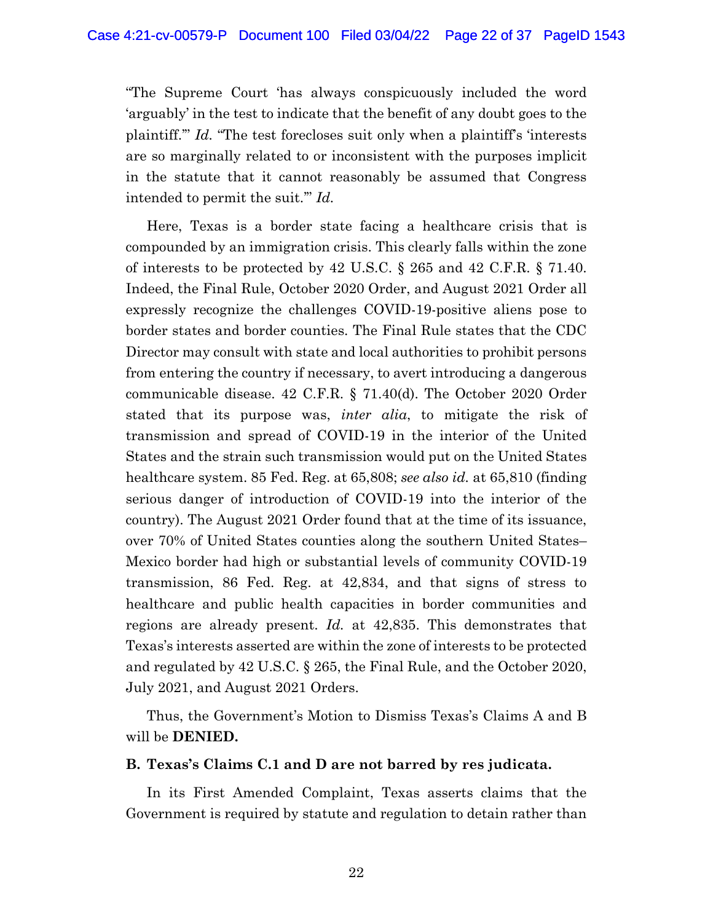"The Supreme Court 'has always conspicuously included the word 'arguably' in the test to indicate that the benefit of any doubt goes to the plaintiff.'" *Id.* "The test forecloses suit only when a plaintiff's 'interests are so marginally related to or inconsistent with the purposes implicit in the statute that it cannot reasonably be assumed that Congress intended to permit the suit.'" *Id.*

Here, Texas is a border state facing a healthcare crisis that is compounded by an immigration crisis. This clearly falls within the zone of interests to be protected by 42 U.S.C. § 265 and 42 C.F.R. § 71.40. Indeed, the Final Rule, October 2020 Order, and August 2021 Order all expressly recognize the challenges COVID-19-positive aliens pose to border states and border counties. The Final Rule states that the CDC Director may consult with state and local authorities to prohibit persons from entering the country if necessary, to avert introducing a dangerous communicable disease. 42 C.F.R. § 71.40(d). The October 2020 Order stated that its purpose was, *inter alia*, to mitigate the risk of transmission and spread of COVID-19 in the interior of the United States and the strain such transmission would put on the United States healthcare system. 85 Fed. Reg. at 65,808; *see also id.* at 65,810 (finding serious danger of introduction of COVID-19 into the interior of the country). The August 2021 Order found that at the time of its issuance, over 70% of United States counties along the southern United States– Mexico border had high or substantial levels of community COVID-19 transmission, 86 Fed. Reg. at 42,834, and that signs of stress to healthcare and public health capacities in border communities and regions are already present. *Id.* at 42,835. This demonstrates that Texas's interests asserted are within the zone of interests to be protected and regulated by 42 U.S.C. § 265, the Final Rule, and the October 2020, July 2021, and August 2021 Orders.

Thus, the Government's Motion to Dismiss Texas's Claims A and B will be **DENIED.**

#### **B. Texas's Claims C.1 and D are not barred by res judicata.**

In its First Amended Complaint, Texas asserts claims that the Government is required by statute and regulation to detain rather than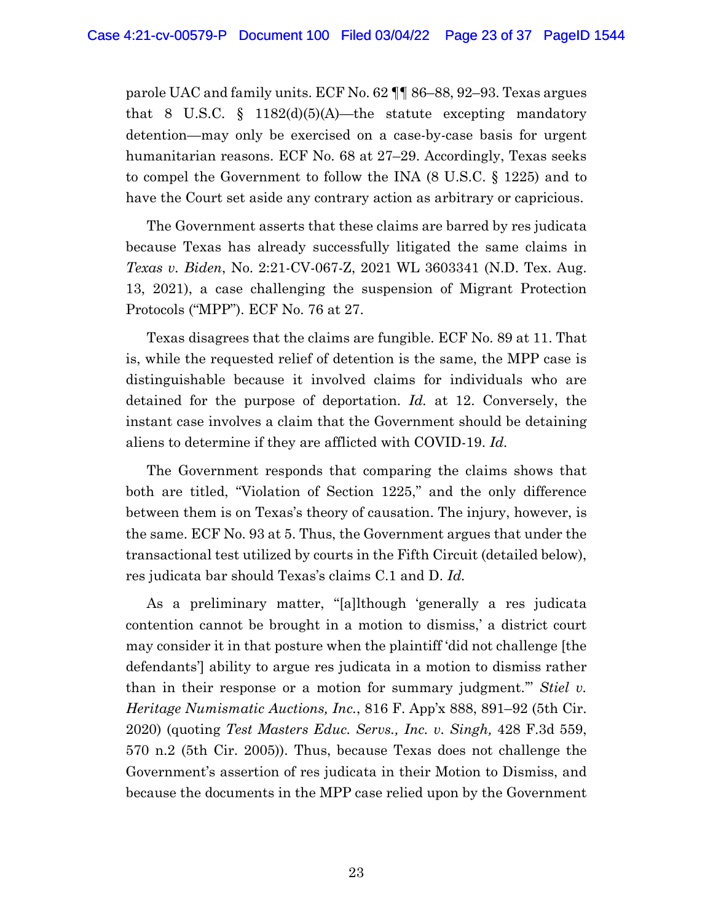parole UAC and family units. ECF No. 62 ¶¶ 86–88, 92–93. Texas argues that 8 U.S.C. § 1182 $(d)(5)(A)$ —the statute excepting mandatory detention—may only be exercised on a case-by-case basis for urgent humanitarian reasons. ECF No. 68 at 27–29. Accordingly, Texas seeks to compel the Government to follow the INA (8 U.S.C. § 1225) and to have the Court set aside any contrary action as arbitrary or capricious.

The Government asserts that these claims are barred by res judicata because Texas has already successfully litigated the same claims in *Texas v. Biden*, No. 2:21-CV-067-Z, 2021 WL 3603341 (N.D. Tex. Aug. 13, 2021), a case challenging the suspension of Migrant Protection Protocols ("MPP"). ECF No. 76 at 27.

Texas disagrees that the claims are fungible. ECF No. 89 at 11. That is, while the requested relief of detention is the same, the MPP case is distinguishable because it involved claims for individuals who are detained for the purpose of deportation. *Id.* at 12. Conversely, the instant case involves a claim that the Government should be detaining aliens to determine if they are afflicted with COVID-19. *Id.*

The Government responds that comparing the claims shows that both are titled, "Violation of Section 1225," and the only difference between them is on Texas's theory of causation. The injury, however, is the same. ECF No. 93 at 5. Thus, the Government argues that under the transactional test utilized by courts in the Fifth Circuit (detailed below), res judicata bar should Texas's claims C.1 and D. *Id.*

As a preliminary matter, "[a]lthough 'generally a res judicata contention cannot be brought in a motion to dismiss,' a district court may consider it in that posture when the plaintiff 'did not challenge [the defendants'] ability to argue res judicata in a motion to dismiss rather than in their response or a motion for summary judgment.'" *Stiel v. Heritage Numismatic Auctions, Inc.*, 816 F. App'x 888, 891–92 (5th Cir. 2020) (quoting *Test Masters Educ. Servs., Inc. v. Singh,* 428 F.3d 559, 570 n.2 (5th Cir. 2005)). Thus, because Texas does not challenge the Government's assertion of res judicata in their Motion to Dismiss, and because the documents in the MPP case relied upon by the Government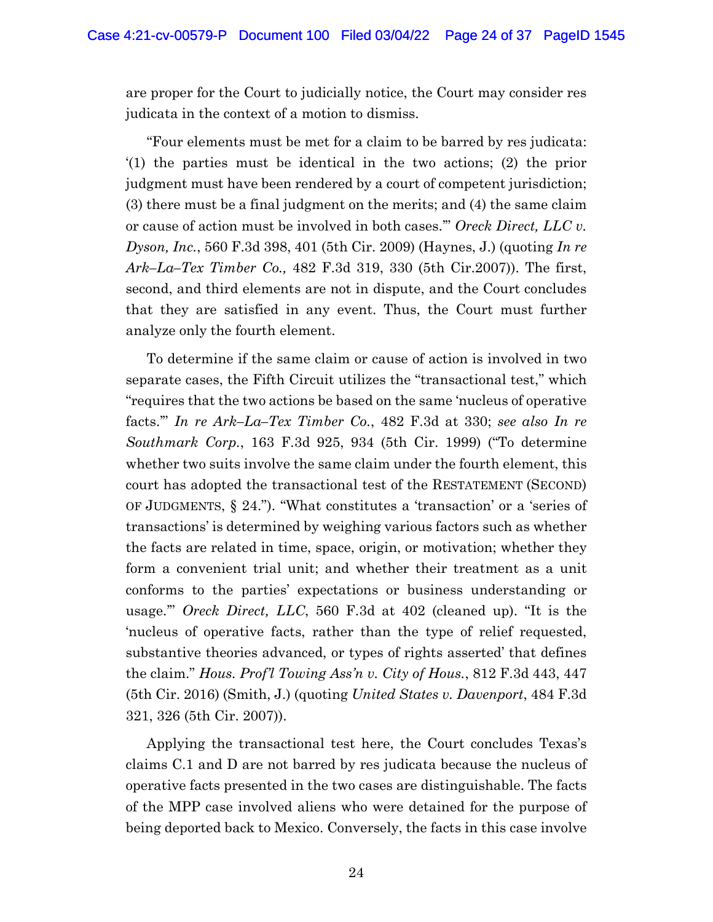are proper for the Court to judicially notice, the Court may consider res judicata in the context of a motion to dismiss.

"Four elements must be met for a claim to be barred by res judicata: '(1) the parties must be identical in the two actions; (2) the prior judgment must have been rendered by a court of competent jurisdiction; (3) there must be a final judgment on the merits; and (4) the same claim or cause of action must be involved in both cases.'" *Oreck Direct, LLC v. Dyson, Inc.*, 560 F.3d 398, 401 (5th Cir. 2009) (Haynes, J.) (quoting *In re Ark–La–Tex Timber Co.,* 482 F.3d 319, 330 (5th Cir.2007)). The first, second, and third elements are not in dispute, and the Court concludes that they are satisfied in any event. Thus, the Court must further analyze only the fourth element.

To determine if the same claim or cause of action is involved in two separate cases, the Fifth Circuit utilizes the "transactional test," which "requires that the two actions be based on the same 'nucleus of operative facts.'" *In re Ark–La–Tex Timber Co.*, 482 F.3d at 330; *see also In re Southmark Corp.*, 163 F.3d 925, 934 (5th Cir. 1999) ("To determine whether two suits involve the same claim under the fourth element, this court has adopted the transactional test of the RESTATEMENT (SECOND) OF JUDGMENTS, § 24."). "What constitutes a 'transaction' or a 'series of transactions' is determined by weighing various factors such as whether the facts are related in time, space, origin, or motivation; whether they form a convenient trial unit; and whether their treatment as a unit conforms to the parties' expectations or business understanding or usage.'" *Oreck Direct, LLC*, 560 F.3d at 402 (cleaned up). "It is the 'nucleus of operative facts, rather than the type of relief requested, substantive theories advanced, or types of rights asserted' that defines the claim." *Hous. Prof'l Towing Ass'n v. City of Hous.*, 812 F.3d 443, 447 (5th Cir. 2016) (Smith, J.) (quoting *United States v. Davenport*, 484 F.3d 321, 326 (5th Cir. 2007)).

Applying the transactional test here, the Court concludes Texas's claims C.1 and D are not barred by res judicata because the nucleus of operative facts presented in the two cases are distinguishable. The facts of the MPP case involved aliens who were detained for the purpose of being deported back to Mexico. Conversely, the facts in this case involve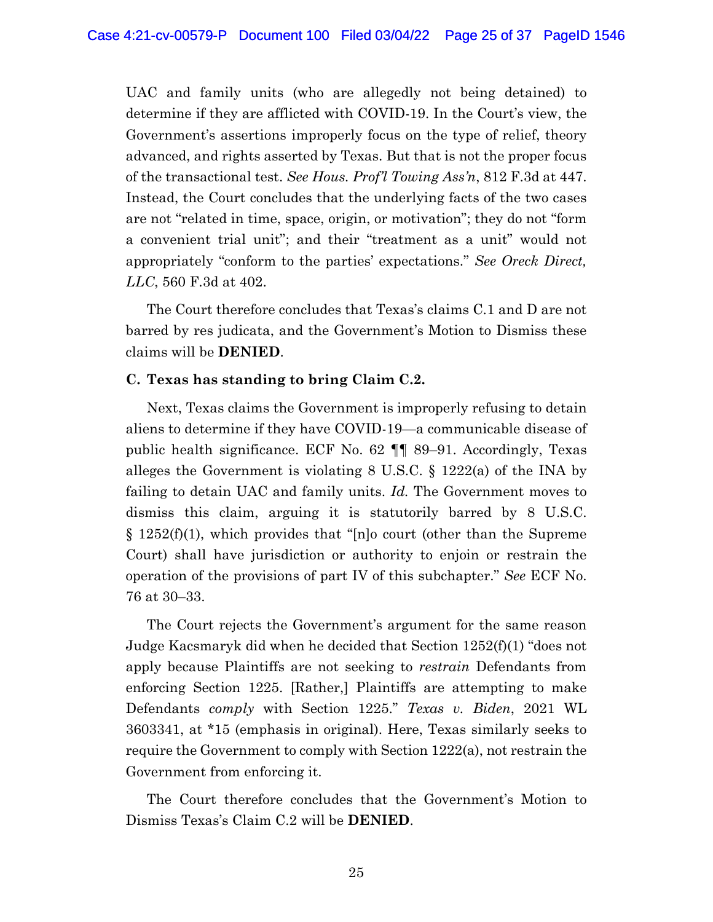UAC and family units (who are allegedly not being detained) to determine if they are afflicted with COVID-19. In the Court's view, the Government's assertions improperly focus on the type of relief, theory advanced, and rights asserted by Texas. But that is not the proper focus of the transactional test. *See Hous. Prof'l Towing Ass'n*, 812 F.3d at 447. Instead, the Court concludes that the underlying facts of the two cases are not "related in time, space, origin, or motivation"; they do not "form a convenient trial unit"; and their "treatment as a unit" would not appropriately "conform to the parties' expectations." *See Oreck Direct, LLC*, 560 F.3d at 402.

The Court therefore concludes that Texas's claims C.1 and D are not barred by res judicata, and the Government's Motion to Dismiss these claims will be **DENIED**.

### **C. Texas has standing to bring Claim C.2.**

Next, Texas claims the Government is improperly refusing to detain aliens to determine if they have COVID-19—a communicable disease of public health significance. ECF No. 62 ¶¶ 89–91. Accordingly, Texas alleges the Government is violating  $8 \text{ U.S.C.} \$  1222(a) of the INA by failing to detain UAC and family units. *Id.* The Government moves to dismiss this claim, arguing it is statutorily barred by 8 U.S.C.  $\S 1252(f)(1)$ , which provides that "[n]o court (other than the Supreme Court) shall have jurisdiction or authority to enjoin or restrain the operation of the provisions of part IV of this subchapter." *See* ECF No. 76 at 30–33.

The Court rejects the Government's argument for the same reason Judge Kacsmaryk did when he decided that Section 1252(f)(1) "does not apply because Plaintiffs are not seeking to *restrain* Defendants from enforcing Section 1225. [Rather,] Plaintiffs are attempting to make Defendants *comply* with Section 1225." *Texas v. Biden*, 2021 WL 3603341, at \*15 (emphasis in original). Here, Texas similarly seeks to require the Government to comply with Section 1222(a), not restrain the Government from enforcing it.

The Court therefore concludes that the Government's Motion to Dismiss Texas's Claim C.2 will be **DENIED**.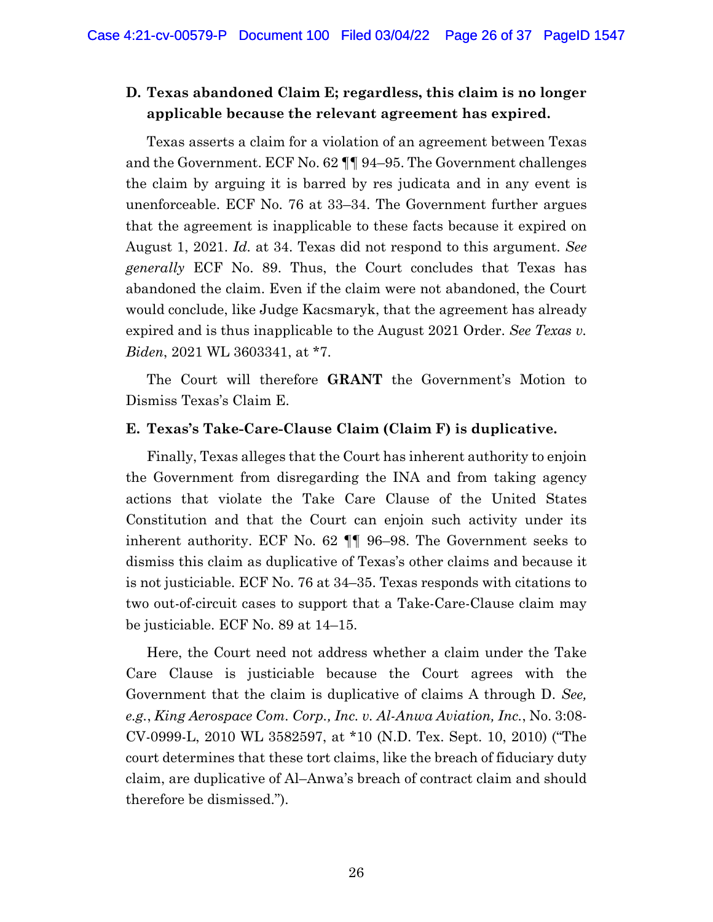# **D. Texas abandoned Claim E; regardless, this claim is no longer applicable because the relevant agreement has expired.**

Texas asserts a claim for a violation of an agreement between Texas and the Government. ECF No. 62 ¶¶ 94–95. The Government challenges the claim by arguing it is barred by res judicata and in any event is unenforceable. ECF No. 76 at 33–34. The Government further argues that the agreement is inapplicable to these facts because it expired on August 1, 2021. *Id.* at 34. Texas did not respond to this argument. *See generally* ECF No. 89. Thus, the Court concludes that Texas has abandoned the claim. Even if the claim were not abandoned, the Court would conclude, like Judge Kacsmaryk, that the agreement has already expired and is thus inapplicable to the August 2021 Order. *See Texas v. Biden*, 2021 WL 3603341, at \*7.

The Court will therefore **GRANT** the Government's Motion to Dismiss Texas's Claim E.

### **E. Texas's Take-Care-Clause Claim (Claim F) is duplicative.**

Finally, Texas alleges that the Court has inherent authority to enjoin the Government from disregarding the INA and from taking agency actions that violate the Take Care Clause of the United States Constitution and that the Court can enjoin such activity under its inherent authority. ECF No. 62 ¶¶ 96–98. The Government seeks to dismiss this claim as duplicative of Texas's other claims and because it is not justiciable. ECF No. 76 at 34–35. Texas responds with citations to two out-of-circuit cases to support that a Take-Care-Clause claim may be justiciable. ECF No. 89 at 14–15.

Here, the Court need not address whether a claim under the Take Care Clause is justiciable because the Court agrees with the Government that the claim is duplicative of claims A through D. *See, e.g.*, *King Aerospace Com. Corp., Inc. v. Al-Anwa Aviation, Inc.*, No. 3:08- CV-0999-L, 2010 WL 3582597, at \*10 (N.D. Tex. Sept. 10, 2010) ("The court determines that these tort claims, like the breach of fiduciary duty claim, are duplicative of Al–Anwa's breach of contract claim and should therefore be dismissed.").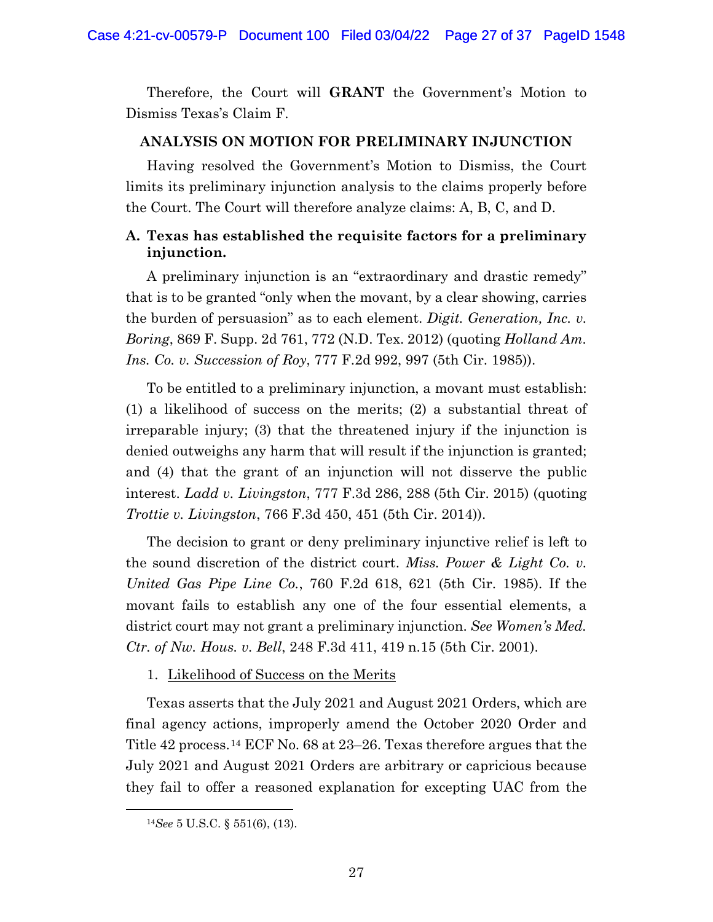Therefore, the Court will **GRANT** the Government's Motion to Dismiss Texas's Claim F.

#### **ANALYSIS ON MOTION FOR PRELIMINARY INJUNCTION**

Having resolved the Government's Motion to Dismiss, the Court limits its preliminary injunction analysis to the claims properly before the Court. The Court will therefore analyze claims: A, B, C, and D.

# **A. Texas has established the requisite factors for a preliminary injunction.**

A preliminary injunction is an "extraordinary and drastic remedy" that is to be granted "only when the movant, by a clear showing, carries the burden of persuasion" as to each element. *Digit. Generation, Inc. v. Boring*, 869 F. Supp. 2d 761, 772 (N.D. Tex. 2012) (quoting *Holland Am. Ins. Co. v. Succession of Roy*, 777 F.2d 992, 997 (5th Cir. 1985)).

To be entitled to a preliminary injunction, a movant must establish: (1) a likelihood of success on the merits; (2) a substantial threat of irreparable injury; (3) that the threatened injury if the injunction is denied outweighs any harm that will result if the injunction is granted; and (4) that the grant of an injunction will not disserve the public interest. *Ladd v. Livingston*, 777 F.3d 286, 288 (5th Cir. 2015) (quoting *Trottie v. Livingston*, 766 F.3d 450, 451 (5th Cir. 2014)).

The decision to grant or deny preliminary injunctive relief is left to the sound discretion of the district court. *Miss. Power & Light Co. v. United Gas Pipe Line Co.*, 760 F.2d 618, 621 (5th Cir. 1985). If the movant fails to establish any one of the four essential elements, a district court may not grant a preliminary injunction. *See Women's Med. Ctr. of Nw. Hous. v. Bell*, 248 F.3d 411, 419 n.15 (5th Cir. 2001).

#### 1. Likelihood of Success on the Merits

Texas asserts that the July 2021 and August 2021 Orders, which are final agency actions, improperly amend the October 2020 Order and Title 42 process.14 ECF No. 68 at 23–26. Texas therefore argues that the July 2021 and August 2021 Orders are arbitrary or capricious because they fail to offer a reasoned explanation for excepting UAC from the

<sup>14</sup>*See* 5 U.S.C. § 551(6), (13).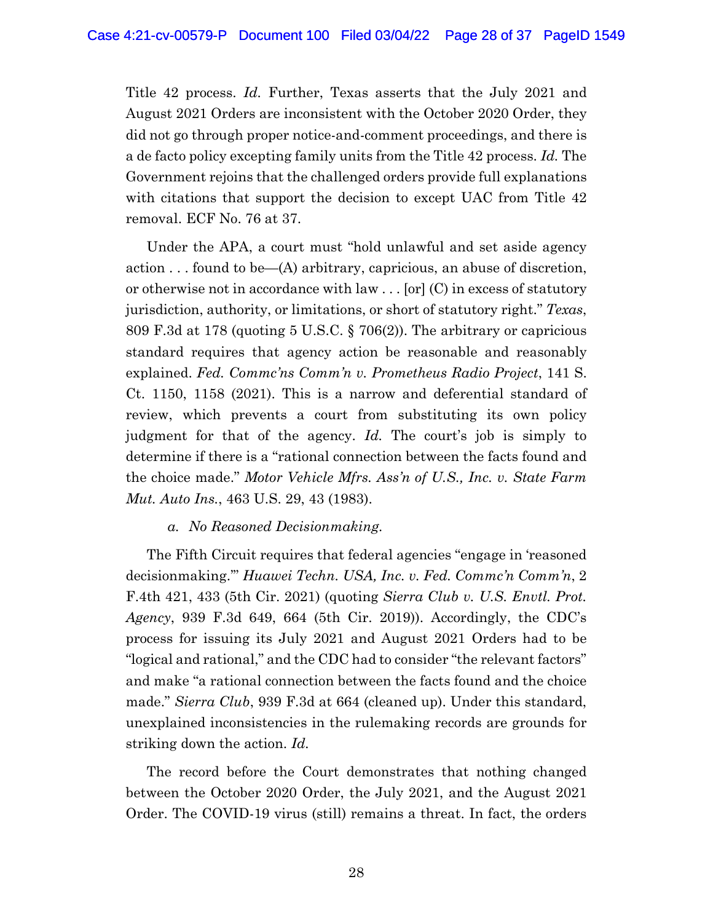Title 42 process. *Id.* Further, Texas asserts that the July 2021 and August 2021 Orders are inconsistent with the October 2020 Order, they did not go through proper notice-and-comment proceedings, and there is a de facto policy excepting family units from the Title 42 process. *Id.* The Government rejoins that the challenged orders provide full explanations with citations that support the decision to except UAC from Title 42 removal. ECF No. 76 at 37.

Under the APA, a court must "hold unlawful and set aside agency action . . . found to be—(A) arbitrary, capricious, an abuse of discretion, or otherwise not in accordance with law . . . [or] (C) in excess of statutory jurisdiction, authority, or limitations, or short of statutory right." *Texas*, 809 F.3d at 178 (quoting 5 U.S.C. § 706(2)). The arbitrary or capricious standard requires that agency action be reasonable and reasonably explained. *Fed. Commc'ns Comm'n v. Prometheus Radio Project*, 141 S. Ct. 1150, 1158 (2021). This is a narrow and deferential standard of review, which prevents a court from substituting its own policy judgment for that of the agency. *Id.* The court's job is simply to determine if there is a "rational connection between the facts found and the choice made." *Motor Vehicle Mfrs. Ass'n of U.S., Inc. v. State Farm Mut. Auto Ins.*, 463 U.S. 29, 43 (1983).

*a. No Reasoned Decisionmaking.* 

The Fifth Circuit requires that federal agencies "engage in 'reasoned decisionmaking.'" *Huawei Techn. USA, Inc. v. Fed. Commc'n Comm'n*, 2 F.4th 421, 433 (5th Cir. 2021) (quoting *Sierra Club v. U.S. Envtl. Prot. Agency*, 939 F.3d 649, 664 (5th Cir. 2019)). Accordingly, the CDC's process for issuing its July 2021 and August 2021 Orders had to be "logical and rational," and the CDC had to consider "the relevant factors" and make "a rational connection between the facts found and the choice made." *Sierra Club*, 939 F.3d at 664 (cleaned up). Under this standard, unexplained inconsistencies in the rulemaking records are grounds for striking down the action. *Id.*

The record before the Court demonstrates that nothing changed between the October 2020 Order, the July 2021, and the August 2021 Order. The COVID-19 virus (still) remains a threat. In fact, the orders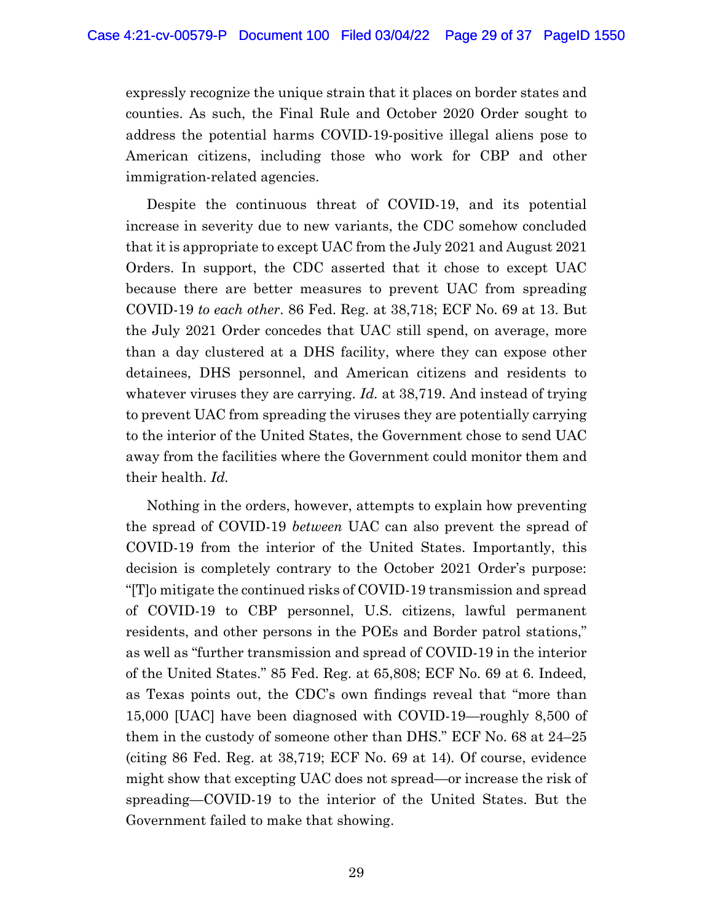expressly recognize the unique strain that it places on border states and counties. As such, the Final Rule and October 2020 Order sought to address the potential harms COVID-19-positive illegal aliens pose to American citizens, including those who work for CBP and other immigration-related agencies.

Despite the continuous threat of COVID-19, and its potential increase in severity due to new variants, the CDC somehow concluded that it is appropriate to except UAC from the July 2021 and August 2021 Orders. In support, the CDC asserted that it chose to except UAC because there are better measures to prevent UAC from spreading COVID-19 *to each other*. 86 Fed. Reg. at 38,718; ECF No. 69 at 13. But the July 2021 Order concedes that UAC still spend, on average, more than a day clustered at a DHS facility, where they can expose other detainees, DHS personnel, and American citizens and residents to whatever viruses they are carrying. *Id.* at 38,719. And instead of trying to prevent UAC from spreading the viruses they are potentially carrying to the interior of the United States, the Government chose to send UAC away from the facilities where the Government could monitor them and their health. *Id.* 

Nothing in the orders, however, attempts to explain how preventing the spread of COVID-19 *between* UAC can also prevent the spread of COVID-19 from the interior of the United States. Importantly, this decision is completely contrary to the October 2021 Order's purpose: "[T]o mitigate the continued risks of COVID-19 transmission and spread of COVID-19 to CBP personnel, U.S. citizens, lawful permanent residents, and other persons in the POEs and Border patrol stations," as well as "further transmission and spread of COVID-19 in the interior of the United States." 85 Fed. Reg. at 65,808; ECF No. 69 at 6. Indeed, as Texas points out, the CDC's own findings reveal that "more than 15,000 [UAC] have been diagnosed with COVID-19—roughly 8,500 of them in the custody of someone other than DHS." ECF No. 68 at 24–25 (citing 86 Fed. Reg. at 38,719; ECF No. 69 at 14)*.* Of course, evidence might show that excepting UAC does not spread—or increase the risk of spreading—COVID-19 to the interior of the United States. But the Government failed to make that showing.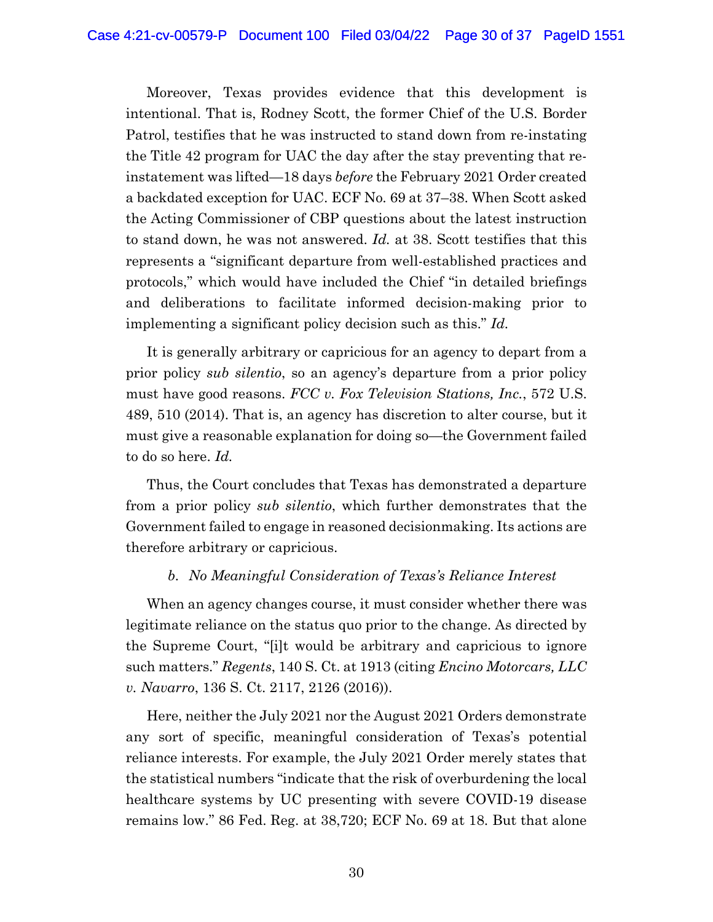Moreover, Texas provides evidence that this development is intentional. That is, Rodney Scott, the former Chief of the U.S. Border Patrol, testifies that he was instructed to stand down from re-instating the Title 42 program for UAC the day after the stay preventing that reinstatement was lifted—18 days *before* the February 2021 Order created a backdated exception for UAC. ECF No. 69 at 37–38. When Scott asked the Acting Commissioner of CBP questions about the latest instruction to stand down, he was not answered. *Id.* at 38. Scott testifies that this represents a "significant departure from well-established practices and protocols," which would have included the Chief "in detailed briefings and deliberations to facilitate informed decision-making prior to implementing a significant policy decision such as this." *Id.*

It is generally arbitrary or capricious for an agency to depart from a prior policy *sub silentio*, so an agency's departure from a prior policy must have good reasons. *FCC v. Fox Television Stations, Inc.*, 572 U.S. 489, 510 (2014). That is, an agency has discretion to alter course, but it must give a reasonable explanation for doing so—the Government failed to do so here. *Id.*

Thus, the Court concludes that Texas has demonstrated a departure from a prior policy *sub silentio*, which further demonstrates that the Government failed to engage in reasoned decisionmaking. Its actions are therefore arbitrary or capricious.

### *b. No Meaningful Consideration of Texas's Reliance Interest*

When an agency changes course, it must consider whether there was legitimate reliance on the status quo prior to the change. As directed by the Supreme Court, "[i]t would be arbitrary and capricious to ignore such matters." *Regents*, 140 S. Ct. at 1913 (citing *Encino Motorcars, LLC v. Navarro*, 136 S. Ct. 2117, 2126 (2016)).

Here, neither the July 2021 nor the August 2021 Orders demonstrate any sort of specific, meaningful consideration of Texas's potential reliance interests. For example, the July 2021 Order merely states that the statistical numbers "indicate that the risk of overburdening the local healthcare systems by UC presenting with severe COVID-19 disease remains low." 86 Fed. Reg. at 38,720; ECF No. 69 at 18. But that alone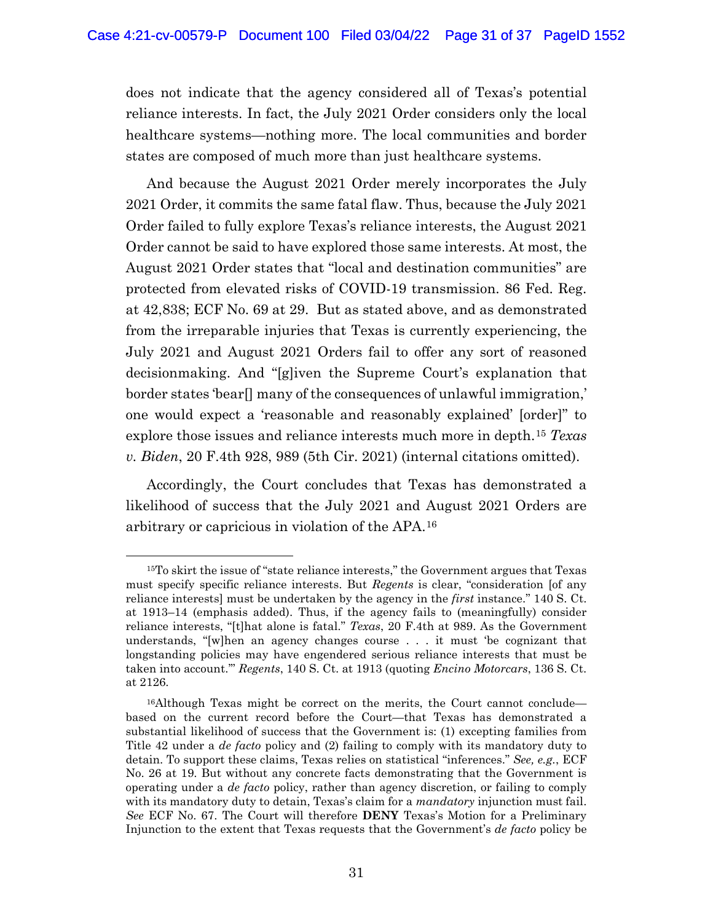does not indicate that the agency considered all of Texas's potential reliance interests. In fact, the July 2021 Order considers only the local healthcare systems—nothing more. The local communities and border states are composed of much more than just healthcare systems.

And because the August 2021 Order merely incorporates the July 2021 Order, it commits the same fatal flaw. Thus, because the July 2021 Order failed to fully explore Texas's reliance interests, the August 2021 Order cannot be said to have explored those same interests. At most, the August 2021 Order states that "local and destination communities" are protected from elevated risks of COVID-19 transmission. 86 Fed. Reg. at 42,838; ECF No. 69 at 29. But as stated above, and as demonstrated from the irreparable injuries that Texas is currently experiencing, the July 2021 and August 2021 Orders fail to offer any sort of reasoned decisionmaking. And "[g]iven the Supreme Court's explanation that border states 'bear[] many of the consequences of unlawful immigration,' one would expect a 'reasonable and reasonably explained' [order]" to explore those issues and reliance interests much more in depth.15 *Texas v. Biden*, 20 F.4th 928, 989 (5th Cir. 2021) (internal citations omitted).

Accordingly, the Court concludes that Texas has demonstrated a likelihood of success that the July 2021 and August 2021 Orders are arbitrary or capricious in violation of the APA.16

<sup>15</sup>To skirt the issue of "state reliance interests," the Government argues that Texas must specify specific reliance interests. But *Regents* is clear, "consideration [of any reliance interests] must be undertaken by the agency in the *first* instance." 140 S. Ct. at 1913–14 (emphasis added). Thus, if the agency fails to (meaningfully) consider reliance interests, "[t]hat alone is fatal." *Texas*, 20 F.4th at 989. As the Government understands, "[w]hen an agency changes course . . . it must 'be cognizant that longstanding policies may have engendered serious reliance interests that must be taken into account.'" *Regents*, 140 S. Ct. at 1913 (quoting *Encino Motorcars*, 136 S. Ct. at 2126.

<sup>16</sup>Although Texas might be correct on the merits, the Court cannot conclude based on the current record before the Court—that Texas has demonstrated a substantial likelihood of success that the Government is: (1) excepting families from Title 42 under a *de facto* policy and (2) failing to comply with its mandatory duty to detain. To support these claims, Texas relies on statistical "inferences." *See, e.g.*, ECF No. 26 at 19. But without any concrete facts demonstrating that the Government is operating under a *de facto* policy, rather than agency discretion, or failing to comply with its mandatory duty to detain, Texas's claim for a *mandatory* injunction must fail. *See* ECF No. 67. The Court will therefore **DENY** Texas's Motion for a Preliminary Injunction to the extent that Texas requests that the Government's *de facto* policy be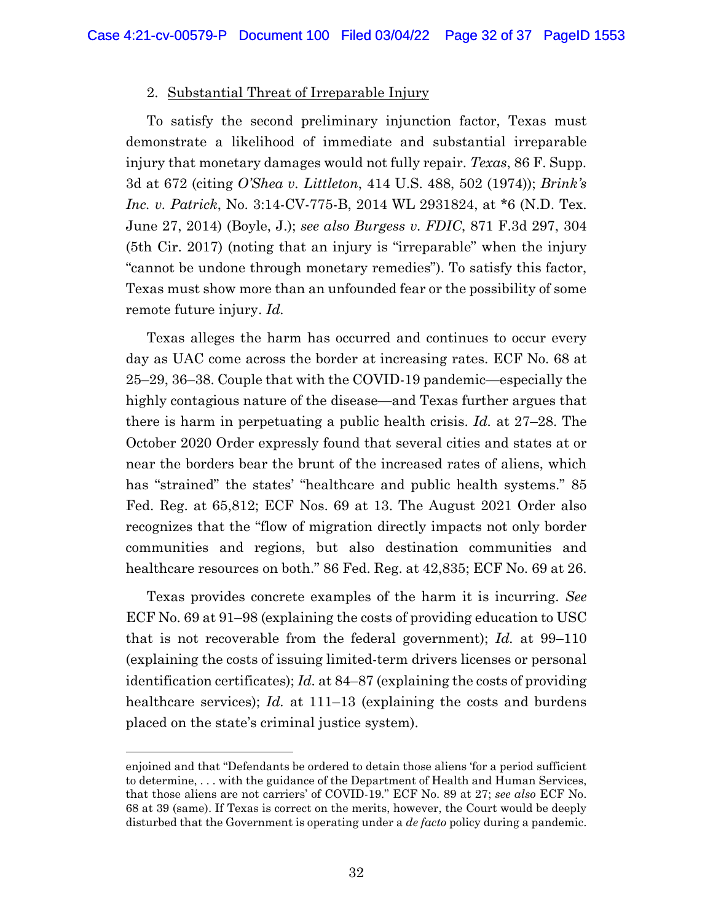#### 2. Substantial Threat of Irreparable Injury

To satisfy the second preliminary injunction factor, Texas must demonstrate a likelihood of immediate and substantial irreparable injury that monetary damages would not fully repair. *Texas*, 86 F. Supp. 3d at 672 (citing *O'Shea v. Littleton*, 414 U.S. 488, 502 (1974)); *Brink's Inc. v. Patrick*, No. 3:14-CV-775-B, 2014 WL 2931824, at \*6 (N.D. Tex. June 27, 2014) (Boyle, J.); *see also Burgess v. FDIC*, 871 F.3d 297, 304 (5th Cir. 2017) (noting that an injury is "irreparable" when the injury "cannot be undone through monetary remedies"). To satisfy this factor, Texas must show more than an unfounded fear or the possibility of some remote future injury. *Id.*

Texas alleges the harm has occurred and continues to occur every day as UAC come across the border at increasing rates. ECF No. 68 at 25–29, 36–38. Couple that with the COVID-19 pandemic—especially the highly contagious nature of the disease—and Texas further argues that there is harm in perpetuating a public health crisis. *Id.* at 27–28. The October 2020 Order expressly found that several cities and states at or near the borders bear the brunt of the increased rates of aliens, which has "strained" the states' "healthcare and public health systems." 85 Fed. Reg. at 65,812; ECF Nos. 69 at 13. The August 2021 Order also recognizes that the "flow of migration directly impacts not only border communities and regions, but also destination communities and healthcare resources on both." 86 Fed. Reg. at 42,835; ECF No. 69 at 26.

Texas provides concrete examples of the harm it is incurring. *See*  ECF No. 69 at 91–98 (explaining the costs of providing education to USC that is not recoverable from the federal government); *Id.* at 99–110 (explaining the costs of issuing limited-term drivers licenses or personal identification certificates); *Id.* at 84–87 (explaining the costs of providing healthcare services); *Id.* at 111–13 (explaining the costs and burdens placed on the state's criminal justice system).

enjoined and that "Defendants be ordered to detain those aliens 'for a period sufficient to determine, . . . with the guidance of the Department of Health and Human Services, that those aliens are not carriers' of COVID-19." ECF No. 89 at 27; *see also* ECF No. 68 at 39 (same). If Texas is correct on the merits, however, the Court would be deeply disturbed that the Government is operating under a *de facto* policy during a pandemic.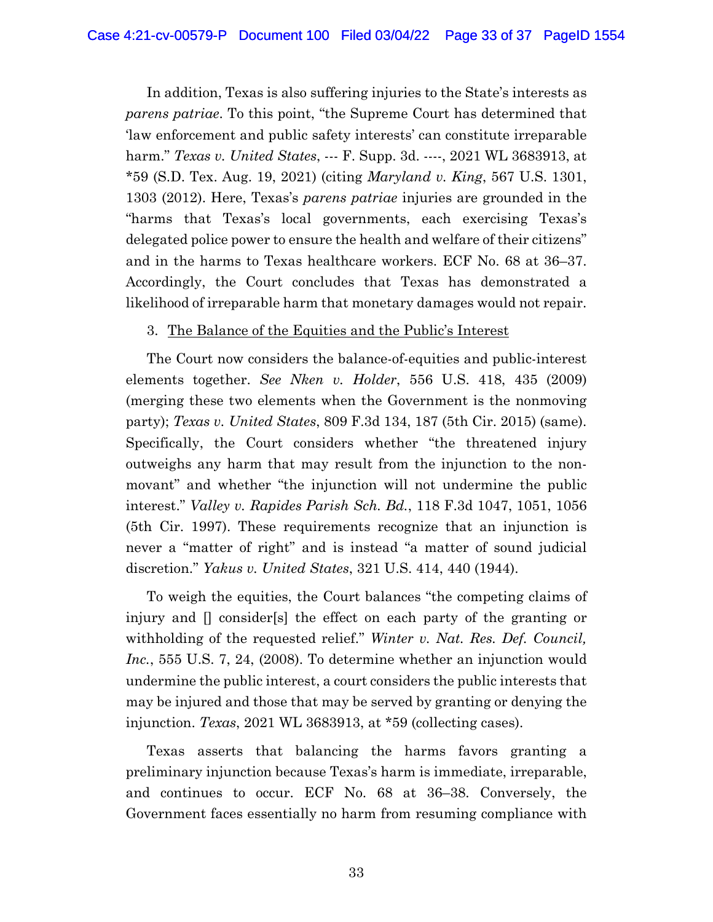In addition, Texas is also suffering injuries to the State's interests as *parens patriae*. To this point, "the Supreme Court has determined that 'law enforcement and public safety interests' can constitute irreparable harm." *Texas v. United States*, --- F. Supp. 3d. ----, 2021 WL 3683913, at \*59 (S.D. Tex. Aug. 19, 2021) (citing *Maryland v. King*, 567 U.S. 1301, 1303 (2012). Here, Texas's *parens patriae* injuries are grounded in the "harms that Texas's local governments, each exercising Texas's delegated police power to ensure the health and welfare of their citizens" and in the harms to Texas healthcare workers. ECF No. 68 at 36–37. Accordingly, the Court concludes that Texas has demonstrated a likelihood of irreparable harm that monetary damages would not repair.

### 3. The Balance of the Equities and the Public's Interest

The Court now considers the balance-of-equities and public-interest elements together. *See Nken v. Holder*, 556 U.S. 418, 435 (2009) (merging these two elements when the Government is the nonmoving party); *Texas v. United States*, 809 F.3d 134, 187 (5th Cir. 2015) (same). Specifically, the Court considers whether "the threatened injury outweighs any harm that may result from the injunction to the nonmovant" and whether "the injunction will not undermine the public interest." *Valley v. Rapides Parish Sch. Bd.*, 118 F.3d 1047, 1051, 1056 (5th Cir. 1997). These requirements recognize that an injunction is never a "matter of right" and is instead "a matter of sound judicial discretion." *Yakus v. United States*, 321 U.S. 414, 440 (1944).

To weigh the equities, the Court balances "the competing claims of injury and [] consider[s] the effect on each party of the granting or withholding of the requested relief." *Winter v. Nat. Res. Def. Council, Inc.*, 555 U.S. 7, 24, (2008). To determine whether an injunction would undermine the public interest, a court considers the public interests that may be injured and those that may be served by granting or denying the injunction. *Texas*, 2021 WL 3683913, at \*59 (collecting cases).

Texas asserts that balancing the harms favors granting a preliminary injunction because Texas's harm is immediate, irreparable, and continues to occur. ECF No. 68 at 36–38. Conversely, the Government faces essentially no harm from resuming compliance with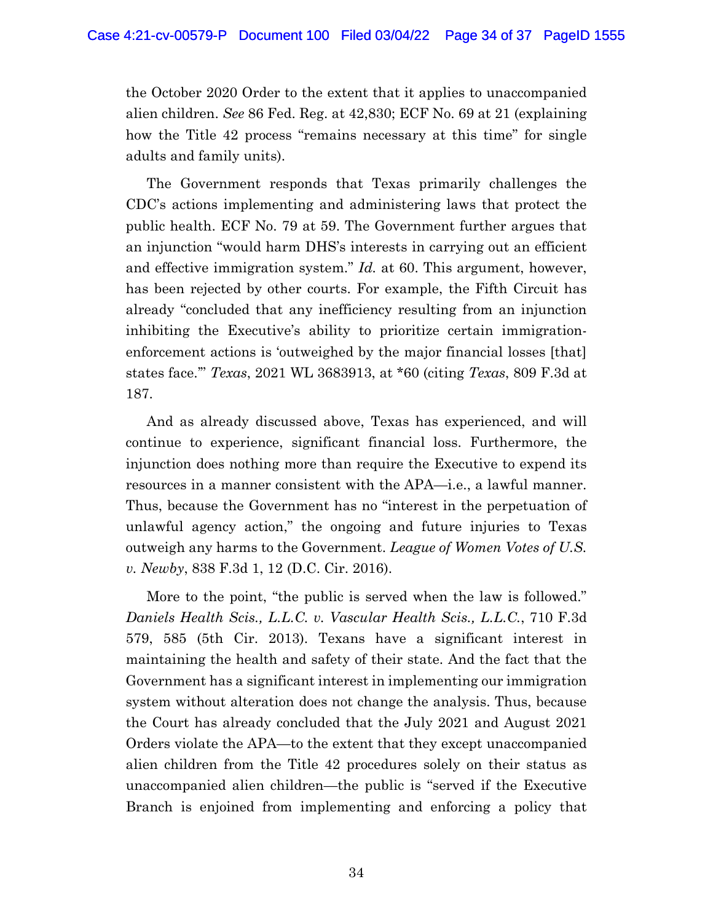the October 2020 Order to the extent that it applies to unaccompanied alien children. *See* 86 Fed. Reg. at 42,830; ECF No. 69 at 21 (explaining how the Title 42 process "remains necessary at this time" for single adults and family units).

The Government responds that Texas primarily challenges the CDC's actions implementing and administering laws that protect the public health. ECF No. 79 at 59. The Government further argues that an injunction "would harm DHS's interests in carrying out an efficient and effective immigration system." *Id.* at 60. This argument, however, has been rejected by other courts. For example, the Fifth Circuit has already "concluded that any inefficiency resulting from an injunction inhibiting the Executive's ability to prioritize certain immigrationenforcement actions is 'outweighed by the major financial losses [that] states face.'" *Texas*, 2021 WL 3683913, at \*60 (citing *Texas*, 809 F.3d at 187.

And as already discussed above, Texas has experienced, and will continue to experience, significant financial loss. Furthermore, the injunction does nothing more than require the Executive to expend its resources in a manner consistent with the APA—i.e., a lawful manner. Thus, because the Government has no "interest in the perpetuation of unlawful agency action," the ongoing and future injuries to Texas outweigh any harms to the Government. *League of Women Votes of U.S. v. Newby*, 838 F.3d 1, 12 (D.C. Cir. 2016).

More to the point, "the public is served when the law is followed." *Daniels Health Scis., L.L.C. v. Vascular Health Scis., L.L.C.*, 710 F.3d 579, 585 (5th Cir. 2013). Texans have a significant interest in maintaining the health and safety of their state. And the fact that the Government has a significant interest in implementing our immigration system without alteration does not change the analysis. Thus, because the Court has already concluded that the July 2021 and August 2021 Orders violate the APA—to the extent that they except unaccompanied alien children from the Title 42 procedures solely on their status as unaccompanied alien children—the public is "served if the Executive Branch is enjoined from implementing and enforcing a policy that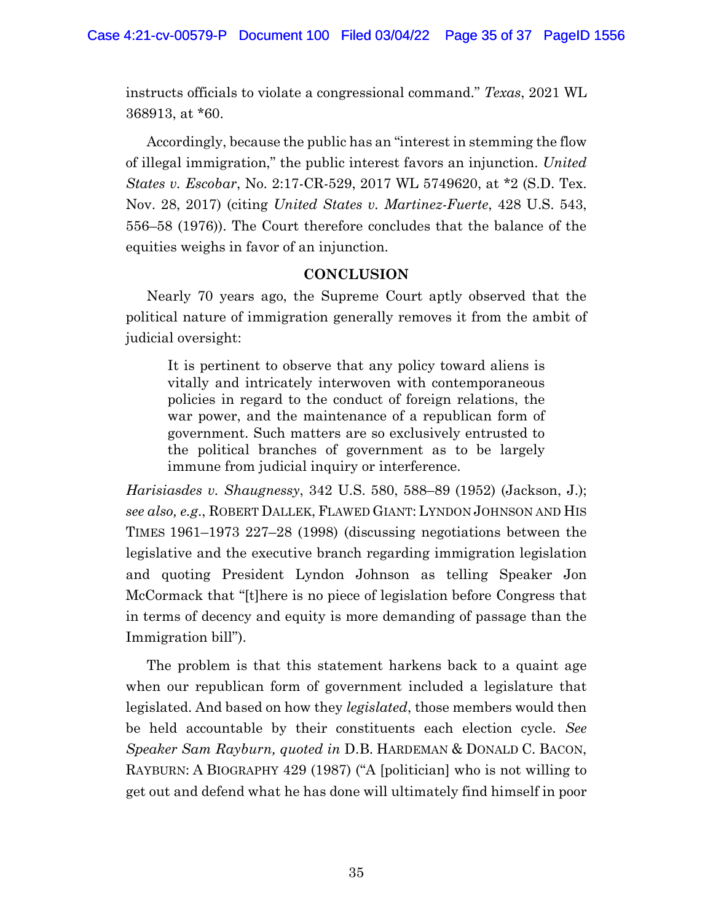instructs officials to violate a congressional command." *Texas*, 2021 WL 368913, at \*60.

Accordingly, because the public has an "interest in stemming the flow of illegal immigration," the public interest favors an injunction. *United States v. Escobar*, No. 2:17-CR-529, 2017 WL 5749620, at \*2 (S.D. Tex. Nov. 28, 2017) (citing *United States v. Martinez-Fuerte*, 428 U.S. 543, 556–58 (1976)). The Court therefore concludes that the balance of the equities weighs in favor of an injunction.

# **CONCLUSION**

Nearly 70 years ago, the Supreme Court aptly observed that the political nature of immigration generally removes it from the ambit of judicial oversight:

It is pertinent to observe that any policy toward aliens is vitally and intricately interwoven with contemporaneous policies in regard to the conduct of foreign relations, the war power, and the maintenance of a republican form of government. Such matters are so exclusively entrusted to the political branches of government as to be largely immune from judicial inquiry or interference.

*Harisiasdes v. Shaugnessy*, 342 U.S. 580, 588–89 (1952) (Jackson, J.); *see also, e.g*., ROBERT DALLEK, FLAWED GIANT: LYNDON JOHNSON AND HIS TIMES 1961–1973 227–28 (1998) (discussing negotiations between the legislative and the executive branch regarding immigration legislation and quoting President Lyndon Johnson as telling Speaker Jon McCormack that "[t]here is no piece of legislation before Congress that in terms of decency and equity is more demanding of passage than the Immigration bill").

The problem is that this statement harkens back to a quaint age when our republican form of government included a legislature that legislated. And based on how they *legislated*, those members would then be held accountable by their constituents each election cycle. *See Speaker Sam Rayburn, quoted in* D.B. HARDEMAN & DONALD C. BACON, RAYBURN: A BIOGRAPHY 429 (1987) ("A [politician] who is not willing to get out and defend what he has done will ultimately find himself in poor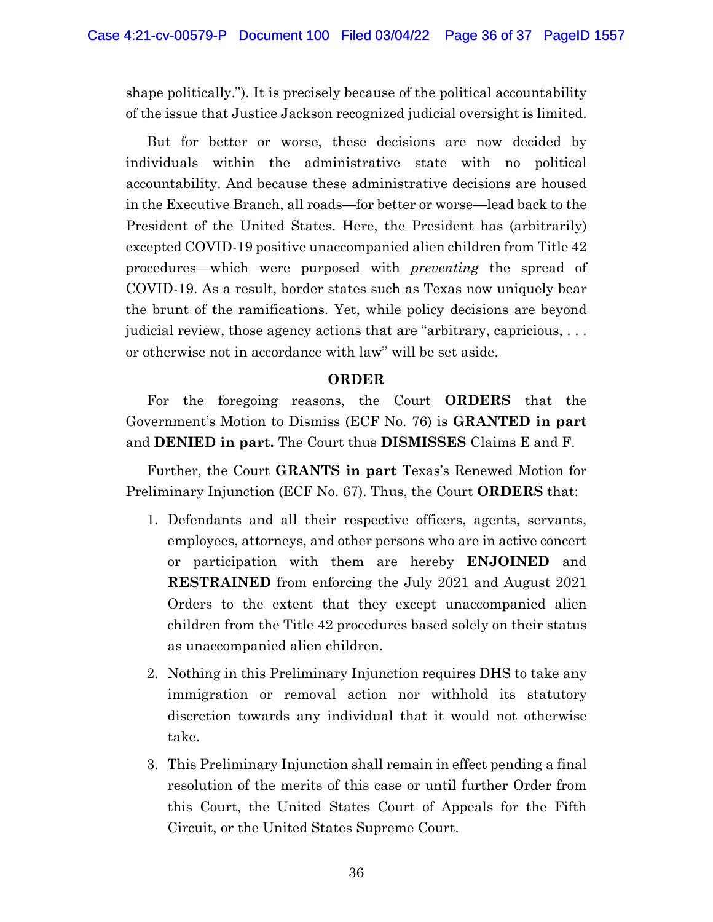shape politically."). It is precisely because of the political accountability of the issue that Justice Jackson recognized judicial oversight is limited.

But for better or worse, these decisions are now decided by individuals within the administrative state with no political accountability. And because these administrative decisions are housed in the Executive Branch, all roads—for better or worse—lead back to the President of the United States. Here, the President has (arbitrarily) excepted COVID-19 positive unaccompanied alien children from Title 42 procedures—which were purposed with *preventing* the spread of COVID-19. As a result, border states such as Texas now uniquely bear the brunt of the ramifications. Yet, while policy decisions are beyond judicial review, those agency actions that are "arbitrary, capricious, ... or otherwise not in accordance with law" will be set aside.

### **ORDER**

For the foregoing reasons, the Court **ORDERS** that the Government's Motion to Dismiss (ECF No. 76) is **GRANTED in part**  and **DENIED in part.** The Court thus **DISMISSES** Claims E and F.

Further, the Court **GRANTS in part** Texas's Renewed Motion for Preliminary Injunction (ECF No. 67). Thus, the Court **ORDERS** that:

- 1. Defendants and all their respective officers, agents, servants, employees, attorneys, and other persons who are in active concert or participation with them are hereby **ENJOINED** and **RESTRAINED** from enforcing the July 2021 and August 2021 Orders to the extent that they except unaccompanied alien children from the Title 42 procedures based solely on their status as unaccompanied alien children.
- 2. Nothing in this Preliminary Injunction requires DHS to take any immigration or removal action nor withhold its statutory discretion towards any individual that it would not otherwise take.
- 3. This Preliminary Injunction shall remain in effect pending a final resolution of the merits of this case or until further Order from this Court, the United States Court of Appeals for the Fifth Circuit, or the United States Supreme Court.